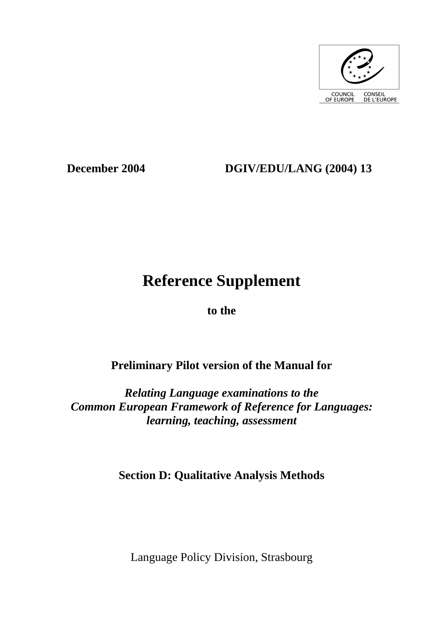

# **December 2004 DGIV/EDU/LANG (2004) 13**

# **Reference Supplement**

**to the** 

# **Preliminary Pilot version of the Manual for**

*Relating Language examinations to the Common European Framework of Reference for Languages: learning, teaching, assessment* 

**Section D: Qualitative Analysis Methods** 

Language Policy Division, Strasbourg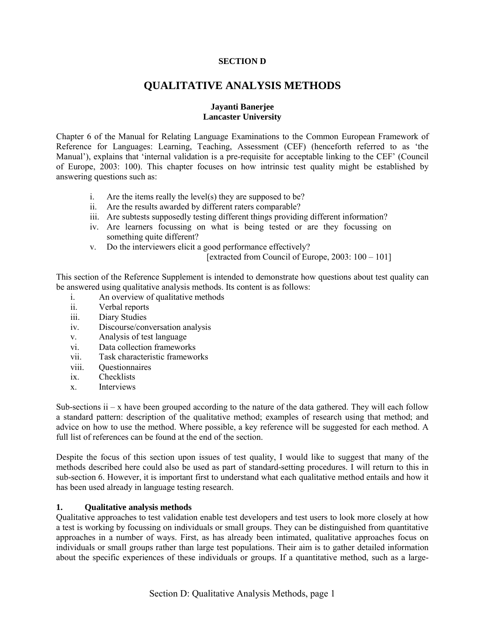### **SECTION D**

# **QUALITATIVE ANALYSIS METHODS**

# **Jayanti Banerjee Lancaster University**

Chapter 6 of the Manual for Relating Language Examinations to the Common European Framework of Reference for Languages: Learning, Teaching, Assessment (CEF) (henceforth referred to as 'the Manual'), explains that 'internal validation is a pre-requisite for acceptable linking to the CEF' (Council) of Europe, 2003: 100). This chapter focuses on how intrinsic test quality might be established by answering questions such as:

- i. Are the items really the level(s) they are supposed to be?
- ii. Are the results awarded by different raters comparable?
- iii. Are subtests supposedly testing different things providing different information?
- iv. Are learners focussing on what is being tested or are they focussing on something quite different?
- v. Do the interviewers elicit a good performance effectively?

[extracted from Council of Europe,  $2003: 100 - 101$ ]

This section of the Reference Supplement is intended to demonstrate how questions about test quality can be answered using qualitative analysis methods. Its content is as follows:

- i. An overview of qualitative methods
- ii. Verbal reports
- iii. Diary Studies
- iv. Discourse/conversation analysis
- v. Analysis of test language
- vi. Data collection frameworks
- vii. Task characteristic frameworks
- viii. Questionnaires
- ix. Checklists
- x. Interviews

Sub-sections  $ii - x$  have been grouped according to the nature of the data gathered. They will each follow a standard pattern: description of the qualitative method; examples of research using that method; and advice on how to use the method. Where possible, a key reference will be suggested for each method. A full list of references can be found at the end of the section.

Despite the focus of this section upon issues of test quality, I would like to suggest that many of the methods described here could also be used as part of standard-setting procedures. I will return to this in sub-section 6. However, it is important first to understand what each qualitative method entails and how it has been used already in language testing research.

#### **1. Qualitative analysis methods**

Qualitative approaches to test validation enable test developers and test users to look more closely at how a test is working by focussing on individuals or small groups. They can be distinguished from quantitative approaches in a number of ways. First, as has already been intimated, qualitative approaches focus on individuals or small groups rather than large test populations. Their aim is to gather detailed information about the specific experiences of these individuals or groups. If a quantitative method, such as a large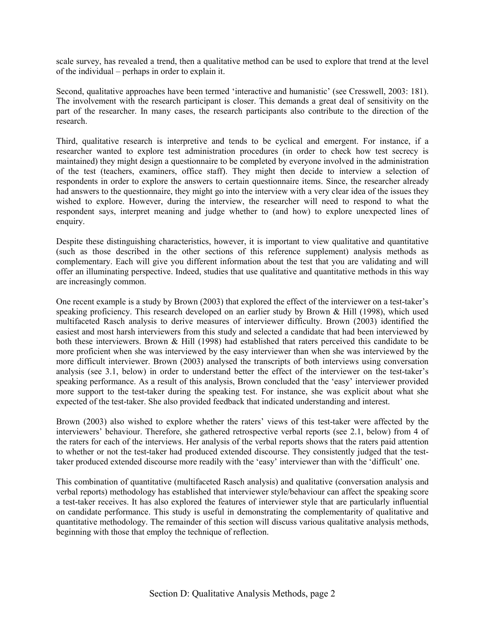scale survey, has revealed a trend, then a qualitative method can be used to explore that trend at the level of the individual  $-$  perhaps in order to explain it.

Second, qualitative approaches have been termed 'interactive and humanistic' (see Cresswell, 2003: 181). The involvement with the research participant is closer. This demands a great deal of sensitivity on the part of the researcher. In many cases, the research participants also contribute to the direction of the research.

Third, qualitative research is interpretive and tends to be cyclical and emergent. For instance, if a researcher wanted to explore test administration procedures (in order to check how test secrecy is maintained) they might design a questionnaire to be completed by everyone involved in the administration of the test (teachers, examiners, office staff). They might then decide to interview a selection of respondents in order to explore the answers to certain questionnaire items. Since, the researcher already had answers to the questionnaire, they might go into the interview with a very clear idea of the issues they wished to explore. However, during the interview, the researcher will need to respond to what the respondent says, interpret meaning and judge whether to (and how) to explore unexpected lines of enquiry.

Despite these distinguishing characteristics, however, it is important to view qualitative and quantitative (such as those described in the other sections of this reference supplement) analysis methods as complementary. Each will give you different information about the test that you are validating and will offer an illuminating perspective. Indeed, studies that use qualitative and quantitative methods in this way are increasingly common.

One recent example is a study by Brown (2003) that explored the effect of the interviewer on a test-taker's speaking proficiency. This research developed on an earlier study by Brown & Hill (1998), which used multifaceted Rasch analysis to derive measures of interviewer difficulty. Brown (2003) identified the easiest and most harsh interviewers from this study and selected a candidate that had been interviewed by both these interviewers. Brown & Hill (1998) had established that raters perceived this candidate to be more proficient when she was interviewed by the easy interviewer than when she was interviewed by the more difficult interviewer. Brown (2003) analysed the transcripts of both interviews using conversation analysis (see 3.1, below) in order to understand better the effect of the interviewer on the test-taker's speaking performance. As a result of this analysis, Brown concluded that the 'easy' interviewer provided more support to the test-taker during the speaking test. For instance, she was explicit about what she expected of the test-taker. She also provided feedback that indicated understanding and interest.

Brown (2003) also wished to explore whether the raters' views of this test-taker were affected by the interviewers' behaviour. Therefore, she gathered retrospective verbal reports (see 2.1, below) from 4 of the raters for each of the interviews. Her analysis of the verbal reports shows that the raters paid attention to whether or not the test-taker had produced extended discourse. They consistently judged that the testtaker produced extended discourse more readily with the 'easy' interviewer than with the 'difficult' one.

This combination of quantitative (multifaceted Rasch analysis) and qualitative (conversation analysis and verbal reports) methodology has established that interviewer style/behaviour can affect the speaking score a test-taker receives. It has also explored the features of interviewer style that are particularly influential on candidate performance. This study is useful in demonstrating the complementarity of qualitative and quantitative methodology. The remainder of this section will discuss various qualitative analysis methods, beginning with those that employ the technique of reflection.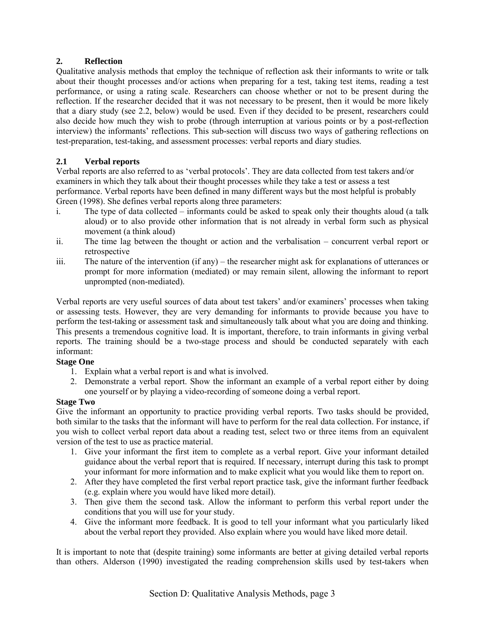# **2. Reflection**

Qualitative analysis methods that employ the technique of reflection ask their informants to write or talk about their thought processes and/or actions when preparing for a test, taking test items, reading a test performance, or using a rating scale. Researchers can choose whether or not to be present during the reflection. If the researcher decided that it was not necessary to be present, then it would be more likely that a diary study (see 2.2, below) would be used. Even if they decided to be present, researchers could also decide how much they wish to probe (through interruption at various points or by a post-reflection interview) the informants' reflections. This sub-section will discuss two ways of gathering reflections on test-preparation, test-taking, and assessment processes: verbal reports and diary studies.

# **2.1 Verbal reports**

Verbal reports are also referred to as 'verbal protocols'. They are data collected from test takers and/or examiners in which they talk about their thought processes while they take a test or assess a test performance. Verbal reports have been defined in many different ways but the most helpful is probably Green (1998). She defines verbal reports along three parameters:

- i. The type of data collected  $-$  informants could be asked to speak only their thoughts aloud (a talk aloud) or to also provide other information that is not already in verbal form such as physical movement (a think aloud)
- ii. The time lag between the thought or action and the verbalisation  $\overline{\phantom{a}}$  concurrent verbal report or retrospective
- iii. The nature of the intervention (if any) the researcher might ask for explanations of utterances or prompt for more information (mediated) or may remain silent, allowing the informant to report unprompted (non-mediated).

Verbal reports are very useful sources of data about test takers' and/or examiners' processes when taking or assessing tests. However, they are very demanding for informants to provide because you have to perform the test-taking or assessment task and simultaneously talk about what you are doing and thinking. This presents a tremendous cognitive load. It is important, therefore, to train informants in giving verbal reports. The training should be a two-stage process and should be conducted separately with each informant:

# **Stage One**

- 1. Explain what a verbal report is and what is involved.
- 2. Demonstrate a verbal report. Show the informant an example of a verbal report either by doing one yourself or by playing a video-recording of someone doing a verbal report.

# **Stage Two**

Give the informant an opportunity to practice providing verbal reports. Two tasks should be provided, both similar to the tasks that the informant will have to perform for the real data collection. For instance, if you wish to collect verbal report data about a reading test, select two or three items from an equivalent version of the test to use as practice material.

- 1. Give your informant the first item to complete as a verbal report. Give your informant detailed guidance about the verbal report that is required. If necessary, interrupt during this task to prompt your informant for more information and to make explicit what you would like them to report on.
- 2. After they have completed the first verbal report practice task, give the informant further feedback (e.g. explain where you would have liked more detail).
- 3. Then give them the second task. Allow the informant to perform this verbal report under the conditions that you will use for your study.
- 4. Give the informant more feedback. It is good to tell your informant what you particularly liked about the verbal report they provided. Also explain where you would have liked more detail.

It is important to note that (despite training) some informants are better at giving detailed verbal reports than others. Alderson (1990) investigated the reading comprehension skills used by test-takers when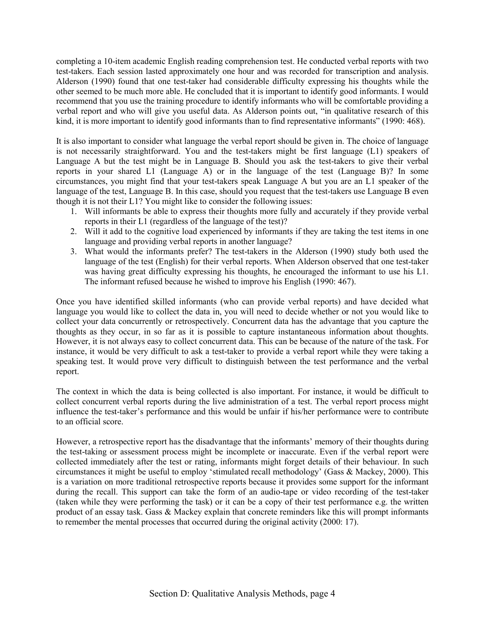completing a 10-item academic English reading comprehension test. He conducted verbal reports with two test-takers. Each session lasted approximately one hour and was recorded for transcription and analysis. Alderson (1990) found that one test-taker had considerable difficulty expressing his thoughts while the other seemed to be much more able. He concluded that it is important to identify good informants. I would recommend that you use the training procedure to identify informants who will be comfortable providing a verbal report and who will give you useful data. As Alderson points out, "in qualitative research of this kind, it is more important to identify good informants than to find representative informants" (1990: 468).

It is also important to consider what language the verbal report should be given in. The choice of language is not necessarily straightforward. You and the test-takers might be first language (L1) speakers of Language A but the test might be in Language B. Should you ask the test-takers to give their verbal reports in your shared L1 (Language A) or in the language of the test (Language B)? In some circumstances, you might find that your test-takers speak Language A but you are an L1 speaker of the language of the test, Language B. In this case, should you request that the test-takers use Language B even though it is not their L1? You might like to consider the following issues:

- 1. Will informants be able to express their thoughts more fully and accurately if they provide verbal reports in their L1 (regardless of the language of the test)?
- 2. Will it add to the cognitive load experienced by informants if they are taking the test items in one language and providing verbal reports in another language?
- 3. What would the informants prefer? The test-takers in the Alderson (1990) study both used the language of the test (English) for their verbal reports. When Alderson observed that one test-taker was having great difficulty expressing his thoughts, he encouraged the informant to use his L1. The informant refused because he wished to improve his English (1990: 467).

Once you have identified skilled informants (who can provide verbal reports) and have decided what language you would like to collect the data in, you will need to decide whether or not you would like to collect your data concurrently or retrospectively. Concurrent data has the advantage that you capture the thoughts as they occur, in so far as it is possible to capture instantaneous information about thoughts. However, it is not always easy to collect concurrent data. This can be because of the nature of the task. For instance, it would be very difficult to ask a test-taker to provide a verbal report while they were taking a speaking test. It would prove very difficult to distinguish between the test performance and the verbal report.

The context in which the data is being collected is also important. For instance, it would be difficult to collect concurrent verbal reports during the live administration of a test. The verbal report process might influence the test-taker's performance and this would be unfair if his/her performance were to contribute to an official score.

However, a retrospective report has the disadvantage that the informantsí memory of their thoughts during the test-taking or assessment process might be incomplete or inaccurate. Even if the verbal report were collected immediately after the test or rating, informants might forget details of their behaviour. In such circumstances it might be useful to employ 'stimulated recall methodology' (Gass & Mackey, 2000). This is a variation on more traditional retrospective reports because it provides some support for the informant during the recall. This support can take the form of an audio-tape or video recording of the test-taker (taken while they were performing the task) or it can be a copy of their test performance e.g. the written product of an essay task. Gass & Mackey explain that concrete reminders like this will prompt informants to remember the mental processes that occurred during the original activity (2000: 17).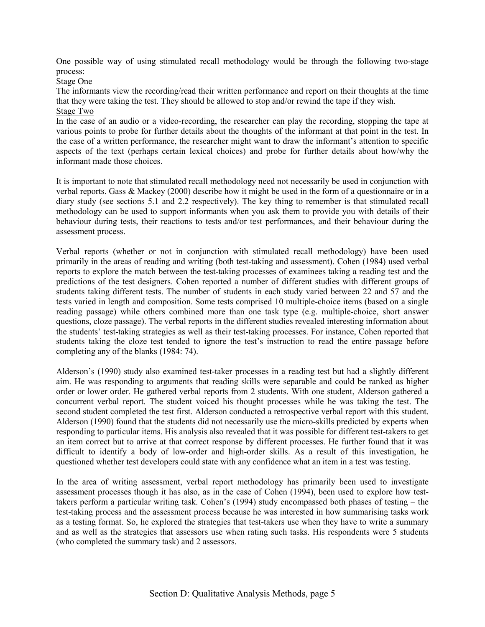One possible way of using stimulated recall methodology would be through the following two-stage process:

Stage One

The informants view the recording/read their written performance and report on their thoughts at the time that they were taking the test. They should be allowed to stop and/or rewind the tape if they wish.

Stage Two

In the case of an audio or a video-recording, the researcher can play the recording, stopping the tape at various points to probe for further details about the thoughts of the informant at that point in the test. In the case of a written performance, the researcher might want to draw the informant's attention to specific aspects of the text (perhaps certain lexical choices) and probe for further details about how/why the informant made those choices.

It is important to note that stimulated recall methodology need not necessarily be used in conjunction with verbal reports. Gass & Mackey (2000) describe how it might be used in the form of a questionnaire or in a diary study (see sections 5.1 and 2.2 respectively). The key thing to remember is that stimulated recall methodology can be used to support informants when you ask them to provide you with details of their behaviour during tests, their reactions to tests and/or test performances, and their behaviour during the assessment process.

Verbal reports (whether or not in conjunction with stimulated recall methodology) have been used primarily in the areas of reading and writing (both test-taking and assessment). Cohen (1984) used verbal reports to explore the match between the test-taking processes of examinees taking a reading test and the predictions of the test designers. Cohen reported a number of different studies with different groups of students taking different tests. The number of students in each study varied between 22 and 57 and the tests varied in length and composition. Some tests comprised 10 multiple-choice items (based on a single reading passage) while others combined more than one task type (e.g. multiple-choice, short answer questions, cloze passage). The verbal reports in the different studies revealed interesting information about the studentsí test-taking strategies as well as their test-taking processes. For instance, Cohen reported that students taking the cloze test tended to ignore the test's instruction to read the entire passage before completing any of the blanks (1984: 74).

Aldersonís (1990) study also examined test-taker processes in a reading test but had a slightly different aim. He was responding to arguments that reading skills were separable and could be ranked as higher order or lower order. He gathered verbal reports from 2 students. With one student, Alderson gathered a concurrent verbal report. The student voiced his thought processes while he was taking the test. The second student completed the test first. Alderson conducted a retrospective verbal report with this student. Alderson (1990) found that the students did not necessarily use the micro-skills predicted by experts when responding to particular items. His analysis also revealed that it was possible for different test-takers to get an item correct but to arrive at that correct response by different processes. He further found that it was difficult to identify a body of low-order and high-order skills. As a result of this investigation, he questioned whether test developers could state with any confidence what an item in a test was testing.

In the area of writing assessment, verbal report methodology has primarily been used to investigate assessment processes though it has also, as in the case of Cohen (1994), been used to explore how testtakers perform a particular writing task. Cohen's  $(1994)$  study encompassed both phases of testing – the test-taking process and the assessment process because he was interested in how summarising tasks work as a testing format. So, he explored the strategies that test-takers use when they have to write a summary and as well as the strategies that assessors use when rating such tasks. His respondents were 5 students (who completed the summary task) and 2 assessors.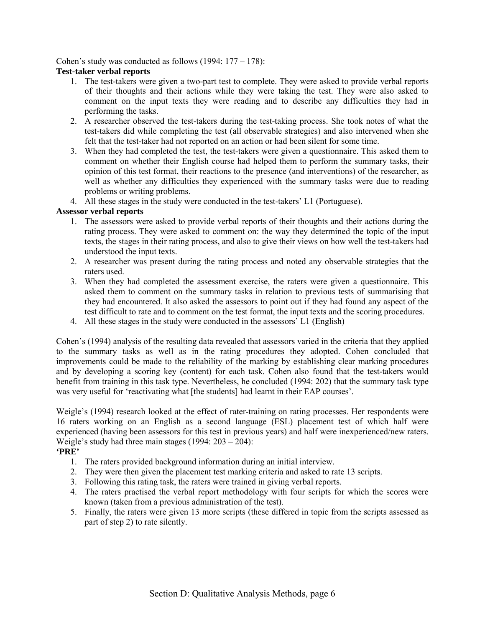Cohen's study was conducted as follows  $(1994: 177 - 178)$ :

# **Test-taker verbal reports**

- 1. The test-takers were given a two-part test to complete. They were asked to provide verbal reports of their thoughts and their actions while they were taking the test. They were also asked to comment on the input texts they were reading and to describe any difficulties they had in performing the tasks.
- 2. A researcher observed the test-takers during the test-taking process. She took notes of what the test-takers did while completing the test (all observable strategies) and also intervened when she felt that the test-taker had not reported on an action or had been silent for some time.
- 3. When they had completed the test, the test-takers were given a questionnaire. This asked them to comment on whether their English course had helped them to perform the summary tasks, their opinion of this test format, their reactions to the presence (and interventions) of the researcher, as well as whether any difficulties they experienced with the summary tasks were due to reading problems or writing problems.
- 4. All these stages in the study were conducted in the test-takers' L1 (Portuguese).

# **Assessor verbal reports**

- 1. The assessors were asked to provide verbal reports of their thoughts and their actions during the rating process. They were asked to comment on: the way they determined the topic of the input texts, the stages in their rating process, and also to give their views on how well the test-takers had understood the input texts.
- 2. A researcher was present during the rating process and noted any observable strategies that the raters used.
- 3. When they had completed the assessment exercise, the raters were given a questionnaire. This asked them to comment on the summary tasks in relation to previous tests of summarising that they had encountered. It also asked the assessors to point out if they had found any aspect of the test difficult to rate and to comment on the test format, the input texts and the scoring procedures.
- 4. All these stages in the study were conducted in the assessors' L1 (English)

Cohen's (1994) analysis of the resulting data revealed that assessors varied in the criteria that they applied to the summary tasks as well as in the rating procedures they adopted. Cohen concluded that improvements could be made to the reliability of the marking by establishing clear marking procedures and by developing a scoring key (content) for each task. Cohen also found that the test-takers would benefit from training in this task type. Nevertheless, he concluded (1994: 202) that the summary task type was very useful for 'reactivating what [the students] had learnt in their EAP courses'.

Weigle's (1994) research looked at the effect of rater-training on rating processes. Her respondents were 16 raters working on an English as a second language (ESL) placement test of which half were experienced (having been assessors for this test in previous years) and half were inexperienced/new raters. Weigle's study had three main stages  $(1994: 203 – 204)$ :

#### **'PRE'**

- 1. The raters provided background information during an initial interview.
- 2. They were then given the placement test marking criteria and asked to rate 13 scripts.
- 3. Following this rating task, the raters were trained in giving verbal reports.
- 4. The raters practised the verbal report methodology with four scripts for which the scores were known (taken from a previous administration of the test).
- 5. Finally, the raters were given 13 more scripts (these differed in topic from the scripts assessed as part of step 2) to rate silently.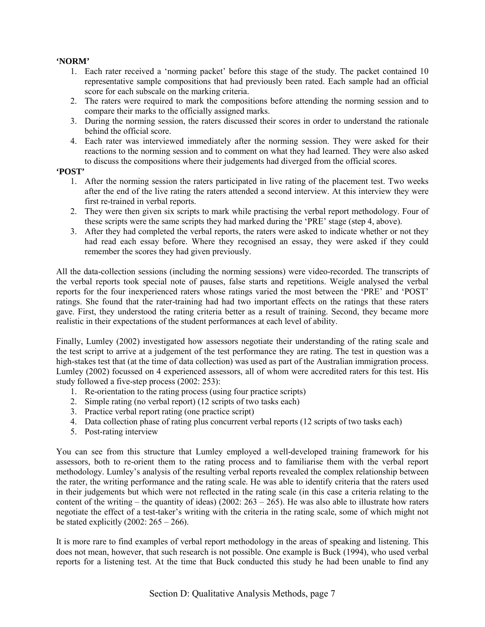# **'NORM'**

- 1. Each rater received a 'norming packet' before this stage of the study. The packet contained 10 representative sample compositions that had previously been rated. Each sample had an official score for each subscale on the marking criteria.
- 2. The raters were required to mark the compositions before attending the norming session and to compare their marks to the officially assigned marks.
- 3. During the norming session, the raters discussed their scores in order to understand the rationale behind the official score.
- 4. Each rater was interviewed immediately after the norming session. They were asked for their reactions to the norming session and to comment on what they had learned. They were also asked to discuss the compositions where their judgements had diverged from the official scores.

#### **'POST'**

- 1. After the norming session the raters participated in live rating of the placement test. Two weeks after the end of the live rating the raters attended a second interview. At this interview they were first re-trained in verbal reports.
- 2. They were then given six scripts to mark while practising the verbal report methodology. Four of these scripts were the same scripts they had marked during the 'PRE' stage (step 4, above).
- 3. After they had completed the verbal reports, the raters were asked to indicate whether or not they had read each essay before. Where they recognised an essay, they were asked if they could remember the scores they had given previously.

All the data-collection sessions (including the norming sessions) were video-recorded. The transcripts of the verbal reports took special note of pauses, false starts and repetitions. Weigle analysed the verbal reports for the four inexperienced raters whose ratings varied the most between the 'PRE' and 'POST' ratings. She found that the rater-training had had two important effects on the ratings that these raters gave. First, they understood the rating criteria better as a result of training. Second, they became more realistic in their expectations of the student performances at each level of ability.

Finally, Lumley (2002) investigated how assessors negotiate their understanding of the rating scale and the test script to arrive at a judgement of the test performance they are rating. The test in question was a high-stakes test that (at the time of data collection) was used as part of the Australian immigration process. Lumley (2002) focussed on 4 experienced assessors, all of whom were accredited raters for this test. His study followed a five-step process (2002: 253):

- 1. Re-orientation to the rating process (using four practice scripts)
- 2. Simple rating (no verbal report) (12 scripts of two tasks each)
- 3. Practice verbal report rating (one practice script)
- 4. Data collection phase of rating plus concurrent verbal reports (12 scripts of two tasks each)
- 5. Post-rating interview

You can see from this structure that Lumley employed a well-developed training framework for his assessors, both to re-orient them to the rating process and to familiarise them with the verbal report methodology. Lumley's analysis of the resulting verbal reports revealed the complex relationship between the rater, the writing performance and the rating scale. He was able to identify criteria that the raters used in their judgements but which were not reflected in the rating scale (in this case a criteria relating to the content of the writing – the quantity of ideas) (2002:  $263 - 265$ ). He was also able to illustrate how raters negotiate the effect of a test-taker's writing with the criteria in the rating scale, some of which might not be stated explicitly  $(2002: 265 - 266)$ .

It is more rare to find examples of verbal report methodology in the areas of speaking and listening. This does not mean, however, that such research is not possible. One example is Buck (1994), who used verbal reports for a listening test. At the time that Buck conducted this study he had been unable to find any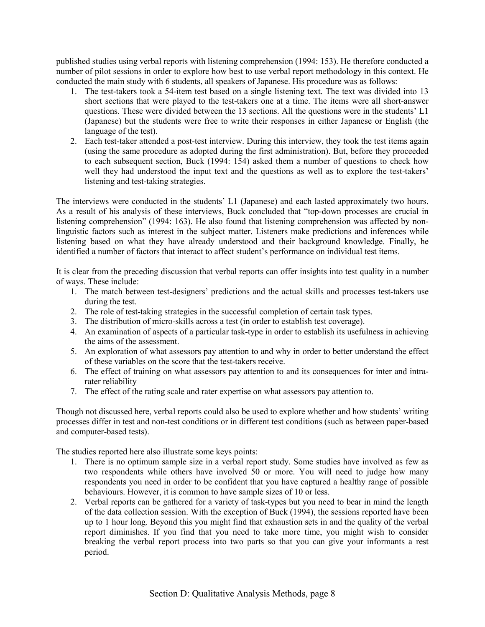published studies using verbal reports with listening comprehension (1994: 153). He therefore conducted a number of pilot sessions in order to explore how best to use verbal report methodology in this context. He conducted the main study with 6 students, all speakers of Japanese. His procedure was as follows:

- 1. The test-takers took a 54-item test based on a single listening text. The text was divided into 13 short sections that were played to the test-takers one at a time. The items were all short-answer questions. These were divided between the  $13$  sections. All the questions were in the students<sup> $\cdot$ </sup> L1 (Japanese) but the students were free to write their responses in either Japanese or English (the language of the test).
- 2. Each test-taker attended a post-test interview. During this interview, they took the test items again (using the same procedure as adopted during the first administration). But, before they proceeded to each subsequent section, Buck (1994: 154) asked them a number of questions to check how well they had understood the input text and the questions as well as to explore the test-takers' listening and test-taking strategies.

The interviews were conducted in the students' L1 (Japanese) and each lasted approximately two hours. As a result of his analysis of these interviews, Buck concluded that "top-down processes are crucial in listening comprehension" (1994: 163). He also found that listening comprehension was affected by nonlinguistic factors such as interest in the subject matter. Listeners make predictions and inferences while listening based on what they have already understood and their background knowledge. Finally, he identified a number of factors that interact to affect student's performance on individual test items.

It is clear from the preceding discussion that verbal reports can offer insights into test quality in a number of ways. These include:

- 1. The match between test-designers' predictions and the actual skills and processes test-takers use during the test.
- 2. The role of test-taking strategies in the successful completion of certain task types.
- 3. The distribution of micro-skills across a test (in order to establish test coverage).
- 4. An examination of aspects of a particular task-type in order to establish its usefulness in achieving the aims of the assessment.
- 5. An exploration of what assessors pay attention to and why in order to better understand the effect of these variables on the score that the test-takers receive.
- 6. The effect of training on what assessors pay attention to and its consequences for inter and intrarater reliability
- 7. The effect of the rating scale and rater expertise on what assessors pay attention to.

Though not discussed here, verbal reports could also be used to explore whether and how students' writing processes differ in test and non-test conditions or in different test conditions (such as between paper-based and computer-based tests).

The studies reported here also illustrate some keys points:

- 1. There is no optimum sample size in a verbal report study. Some studies have involved as few as two respondents while others have involved 50 or more. You will need to judge how many respondents you need in order to be confident that you have captured a healthy range of possible behaviours. However, it is common to have sample sizes of 10 or less.
- 2. Verbal reports can be gathered for a variety of task-types but you need to bear in mind the length of the data collection session. With the exception of Buck (1994), the sessions reported have been up to 1 hour long. Beyond this you might find that exhaustion sets in and the quality of the verbal report diminishes. If you find that you need to take more time, you might wish to consider breaking the verbal report process into two parts so that you can give your informants a rest period.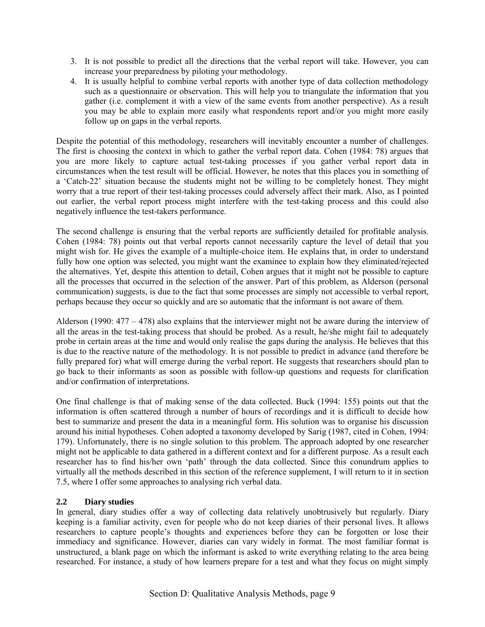- 3. It is not possible to predict all the directions that the verbal report will take. However, you can increase your preparedness by piloting your methodology.
- 4. It is usually helpful to combine verbal reports with another type of data collection methodology such as a questionnaire or observation. This will help you to triangulate the information that you gather (i.e. complement it with a view of the same events from another perspective). As a result you may be able to explain more easily what respondents report and/or you might more easily follow up on gaps in the verbal reports.

Despite the potential of this methodology, researchers will inevitably encounter a number of challenges. The first is choosing the context in which to gather the verbal report data. Cohen (1984: 78) argues that you are more likely to capture actual test-taking processes if you gather verbal report data in circumstances when the test result will be official. However, he notes that this places you in something of a 'Catch-22' situation because the students might not be willing to be completely honest. They might worry that a true report of their test-taking processes could adversely affect their mark. Also, as I pointed out earlier, the verbal report process might interfere with the test-taking process and this could also negatively influence the test-takers performance.

The second challenge is ensuring that the verbal reports are sufficiently detailed for profitable analysis. Cohen (1984: 78) points out that verbal reports cannot necessarily capture the level of detail that you might wish for. He gives the example of a multiple-choice item. He explains that, in order to understand fully how one option was selected, you might want the examinee to explain how they eliminated/rejected the alternatives. Yet, despite this attention to detail, Cohen argues that it might not be possible to capture all the processes that occurred in the selection of the answer. Part of this problem, as Alderson (personal communication) suggests, is due to the fact that some processes are simply not accessible to verbal report, perhaps because they occur so quickly and are so automatic that the informant is not aware of them.

Alderson (1990:  $477 - 478$ ) also explains that the interviewer might not be aware during the interview of all the areas in the test-taking process that should be probed. As a result, he/she might fail to adequately probe in certain areas at the time and would only realise the gaps during the analysis. He believes that this is due to the reactive nature of the methodology. It is not possible to predict in advance (and therefore be fully prepared for) what will emerge during the verbal report. He suggests that researchers should plan to go back to their informants as soon as possible with follow-up questions and requests for clarification and/or confirmation of interpretations.

One final challenge is that of making sense of the data collected. Buck (1994: 155) points out that the information is often scattered through a number of hours of recordings and it is difficult to decide how best to summarize and present the data in a meaningful form. His solution was to organise his discussion around his initial hypotheses. Cohen adopted a taxonomy developed by Sarig (1987, cited in Cohen, 1994: 179). Unfortunately, there is no single solution to this problem. The approach adopted by one researcher might not be applicable to data gathered in a different context and for a different purpose. As a result each researcher has to find his/her own 'path' through the data collected. Since this conundrum applies to virtually all the methods described in this section of the reference supplement, I will return to it in section 7.5, where I offer some approaches to analysing rich verbal data.

# **2.2 Diary studies**

In general, diary studies offer a way of collecting data relatively unobtrusively but regularly. Diary keeping is a familiar activity, even for people who do not keep diaries of their personal lives. It allows researchers to capture people's thoughts and experiences before they can be forgotten or lose their immediacy and significance. However, diaries can vary widely in format. The most familiar format is unstructured, a blank page on which the informant is asked to write everything relating to the area being researched. For instance, a study of how learners prepare for a test and what they focus on might simply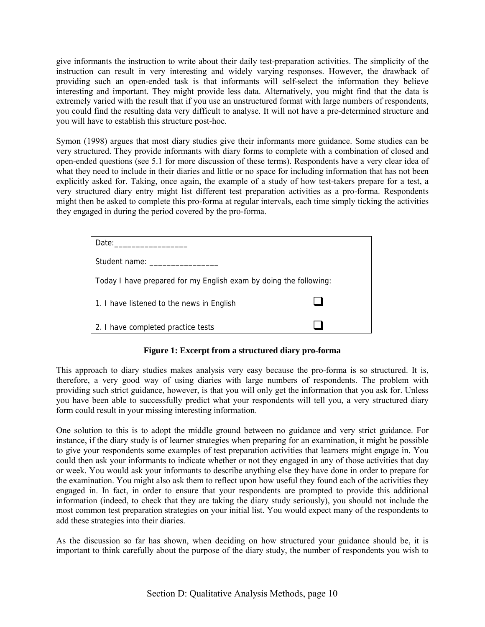give informants the instruction to write about their daily test-preparation activities. The simplicity of the instruction can result in very interesting and widely varying responses. However, the drawback of providing such an open-ended task is that informants will self-select the information they believe interesting and important. They might provide less data. Alternatively, you might find that the data is extremely varied with the result that if you use an unstructured format with large numbers of respondents, you could find the resulting data very difficult to analyse. It will not have a pre-determined structure and you will have to establish this structure post-hoc.

Symon (1998) argues that most diary studies give their informants more guidance. Some studies can be very structured. They provide informants with diary forms to complete with a combination of closed and open-ended questions (see 5.1 for more discussion of these terms). Respondents have a very clear idea of what they need to include in their diaries and little or no space for including information that has not been explicitly asked for. Taking, once again, the example of a study of how test-takers prepare for a test, a very structured diary entry might list different test preparation activities as a pro-forma. Respondents might then be asked to complete this pro-forma at regular intervals, each time simply ticking the activities they engaged in during the period covered by the pro-forma.

| Date: and the part of the part of the part of the part of the part of the part of the part of the part of the c |  |
|-----------------------------------------------------------------------------------------------------------------|--|
| Student name: The student states of the states of the states of the states of the states of the states of the s |  |
| Today I have prepared for my English exam by doing the following:                                               |  |
| 1. I have listened to the news in English                                                                       |  |
| 2. I have completed practice tests                                                                              |  |

### **Figure 1: Excerpt from a structured diary pro-forma**

This approach to diary studies makes analysis very easy because the pro-forma is so structured. It is, therefore, a very good way of using diaries with large numbers of respondents. The problem with providing such strict guidance, however, is that you will only get the information that you ask for. Unless you have been able to successfully predict what your respondents will tell you, a very structured diary form could result in your missing interesting information.

One solution to this is to adopt the middle ground between no guidance and very strict guidance. For instance, if the diary study is of learner strategies when preparing for an examination, it might be possible to give your respondents some examples of test preparation activities that learners might engage in. You could then ask your informants to indicate whether or not they engaged in any of those activities that day or week. You would ask your informants to describe anything else they have done in order to prepare for the examination. You might also ask them to reflect upon how useful they found each of the activities they engaged in. In fact, in order to ensure that your respondents are prompted to provide this additional information (indeed, to check that they are taking the diary study seriously), you should not include the most common test preparation strategies on your initial list. You would expect many of the respondents to add these strategies into their diaries.

As the discussion so far has shown, when deciding on how structured your guidance should be, it is important to think carefully about the purpose of the diary study, the number of respondents you wish to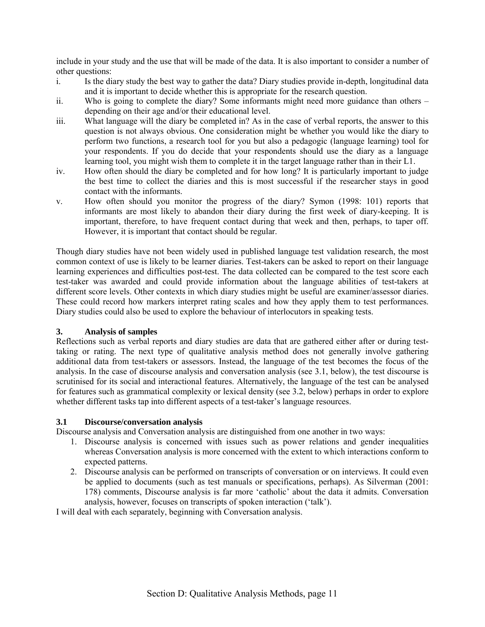include in your study and the use that will be made of the data. It is also important to consider a number of other questions:

- i. Is the diary study the best way to gather the data? Diary studies provide in-depth, longitudinal data and it is important to decide whether this is appropriate for the research question.
- ii. Who is going to complete the diary? Some informants might need more guidance than others  $-\frac{1}{2}$ depending on their age and/or their educational level.
- iii. What language will the diary be completed in? As in the case of verbal reports, the answer to this question is not always obvious. One consideration might be whether you would like the diary to perform two functions, a research tool for you but also a pedagogic (language learning) tool for your respondents. If you do decide that your respondents should use the diary as a language learning tool, you might wish them to complete it in the target language rather than in their L1.
- iv. How often should the diary be completed and for how long? It is particularly important to judge the best time to collect the diaries and this is most successful if the researcher stays in good contact with the informants.
- v. How often should you monitor the progress of the diary? Symon (1998: 101) reports that informants are most likely to abandon their diary during the first week of diary-keeping. It is important, therefore, to have frequent contact during that week and then, perhaps, to taper off. However, it is important that contact should be regular.

Though diary studies have not been widely used in published language test validation research, the most common context of use is likely to be learner diaries. Test-takers can be asked to report on their language learning experiences and difficulties post-test. The data collected can be compared to the test score each test-taker was awarded and could provide information about the language abilities of test-takers at different score levels. Other contexts in which diary studies might be useful are examiner/assessor diaries. These could record how markers interpret rating scales and how they apply them to test performances. Diary studies could also be used to explore the behaviour of interlocutors in speaking tests.

# **3. Analysis of samples**

Reflections such as verbal reports and diary studies are data that are gathered either after or during testtaking or rating. The next type of qualitative analysis method does not generally involve gathering additional data from test-takers or assessors. Instead, the language of the test becomes the focus of the analysis. In the case of discourse analysis and conversation analysis (see 3.1, below), the test discourse is scrutinised for its social and interactional features. Alternatively, the language of the test can be analysed for features such as grammatical complexity or lexical density (see 3.2, below) perhaps in order to explore whether different tasks tap into different aspects of a test-taker's language resources.

#### **3.1 Discourse/conversation analysis**

Discourse analysis and Conversation analysis are distinguished from one another in two ways:

- 1. Discourse analysis is concerned with issues such as power relations and gender inequalities whereas Conversation analysis is more concerned with the extent to which interactions conform to expected patterns.
- 2. Discourse analysis can be performed on transcripts of conversation or on interviews. It could even be applied to documents (such as test manuals or specifications, perhaps). As Silverman (2001: 178) comments, Discourse analysis is far more ëcatholicí about the data it admits. Conversation analysis, however, focuses on transcripts of spoken interaction ('talk').

I will deal with each separately, beginning with Conversation analysis.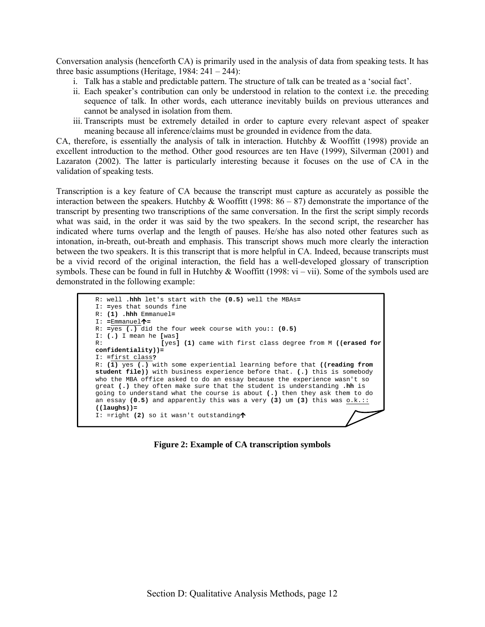Conversation analysis (henceforth CA) is primarily used in the analysis of data from speaking tests. It has three basic assumptions (Heritage,  $1984: 241 - 244$ ):

- i. Talk has a stable and predictable pattern. The structure of talk can be treated as a 'social fact'.
- ii. Each speaker's contribution can only be understood in relation to the context i.e. the preceding sequence of talk. In other words, each utterance inevitably builds on previous utterances and cannot be analysed in isolation from them.
- iii. Transcripts must be extremely detailed in order to capture every relevant aspect of speaker meaning because all inference/claims must be grounded in evidence from the data.

CA, therefore, is essentially the analysis of talk in interaction. Hutchby  $\&$  Wooffitt (1998) provide an excellent introduction to the method. Other good resources are ten Have (1999), Silverman (2001) and Lazaraton (2002). The latter is particularly interesting because it focuses on the use of CA in the validation of speaking tests.

Transcription is a key feature of CA because the transcript must capture as accurately as possible the interaction between the speakers. Hutchby & Wooffitt (1998:  $86 - 87$ ) demonstrate the importance of the transcript by presenting two transcriptions of the same conversation. In the first the script simply records what was said, in the order it was said by the two speakers. In the second script, the researcher has indicated where turns overlap and the length of pauses. He/she has also noted other features such as intonation, in-breath, out-breath and emphasis. This transcript shows much more clearly the interaction between the two speakers. It is this transcript that is more helpful in CA. Indeed, because transcripts must be a vivid record of the original interaction, the field has a well-developed glossary of transcription symbols. These can be found in full in Hutchby & Wooffitt (1998:  $vi - vii$ ). Some of the symbols used are demonstrated in the following example:

```
R: well .hhh let's start with the (0.5) well the MBAs=
I: =yes that sounds fine 
R: (1) .hhh Emmanuel=
I: =Emmanuel"=
R: =yes (.) did the four week course with you:: (0.5)
I: (.) I mean he [was]
                 R: [yes] (1) came with first class degree from M ((erased for 
confidentiality))=
I: =first class?
R: (1) yes (.) with some experiential learning before that ((reading from 
student file)) with business experience before that. (.) this is somebody 
who the MBA office asked to do an essay because the experience wasn't so 
great (.) they often make sure that the student is understanding .hh is 
going to understand what the course is about (.) then they ask them to do 
an essay (0.5) and apparently this was a very (3) um (3) this was o.k.::
((laughs))=
I: =right (2) so it wasn't outstanding\uparrow
```
**Figure 2: Example of CA transcription symbols**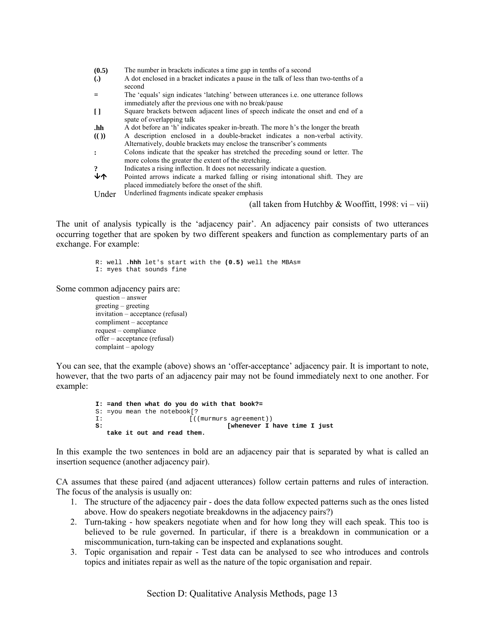| (0.5)             | The number in brackets indicates a time gap in tenths of a second                                                                                    |
|-------------------|------------------------------------------------------------------------------------------------------------------------------------------------------|
| $\left( .\right)$ | A dot enclosed in a bracket indicates a pause in the talk of less than two-tenths of a<br>second                                                     |
|                   | The 'equals' sign indicates 'latching' between utterances i.e. one utterance follows<br>immediately after the previous one with no break/pause       |
| $\Box$            | Square brackets between adjacent lines of speech indicate the onset and end of a<br>spate of overlapping talk                                        |
| .hh               | A dot before an 'h' indicates speaker in-breath. The more h's the longer the breath                                                                  |
| (()               | A description enclosed in a double-bracket indicates a non-verbal activity.<br>Alternatively, double brackets may enclose the transcriber's comments |
| $\cdot$           | Colons indicate that the speaker has stretched the preceding sound or letter. The<br>more colons the greater the extent of the stretching.           |
| $\cdot$           | Indicates a rising inflection. It does not necessarily indicate a question.                                                                          |
| ずん                | Pointed arrows indicate a marked falling or rising intonational shift. They are<br>placed immediately before the onset of the shift.                 |
| Under             | Underlined fragments indicate speaker emphasis                                                                                                       |

(all taken from Hutchby & Wooffitt, 1998: vi – vii)

The unit of analysis typically is the 'adjacency pair'. An adjacency pair consists of two utterances occurring together that are spoken by two different speakers and function as complementary parts of an exchange. For example:

> R: well **.hhh** let's start with the **(0.5)** well the MBAs**=** I: **=**yes that sounds fine

Some common adjacency pairs are:

 $question - answer$  $g$ reeting  $-g$ reeting invitation - acceptance (refusal)  $complement - acceptance$  $request$  – compliance  $offer - acceptance (refusal)$  $complain$  – apology

You can see, that the example (above) shows an 'offer-acceptance' adjacency pair. It is important to note, however, that the two parts of an adjacency pair may not be found immediately next to one another. For example:

> **I: =and then what do you do with that book?=**  S: =you mean the notebook[?<br> $T:$ I:  $[(\text{murmurs agreement})\n]$ **S: [whenever I have time I just take it out and read them.**

In this example the two sentences in bold are an adjacency pair that is separated by what is called an insertion sequence (another adjacency pair).

CA assumes that these paired (and adjacent utterances) follow certain patterns and rules of interaction. The focus of the analysis is usually on:

- 1. The structure of the adjacency pair does the data follow expected patterns such as the ones listed above. How do speakers negotiate breakdowns in the adjacency pairs?)
- 2. Turn-taking how speakers negotiate when and for how long they will each speak. This too is believed to be rule governed. In particular, if there is a breakdown in communication or a miscommunication, turn-taking can be inspected and explanations sought.
- 3. Topic organisation and repair Test data can be analysed to see who introduces and controls topics and initiates repair as well as the nature of the topic organisation and repair.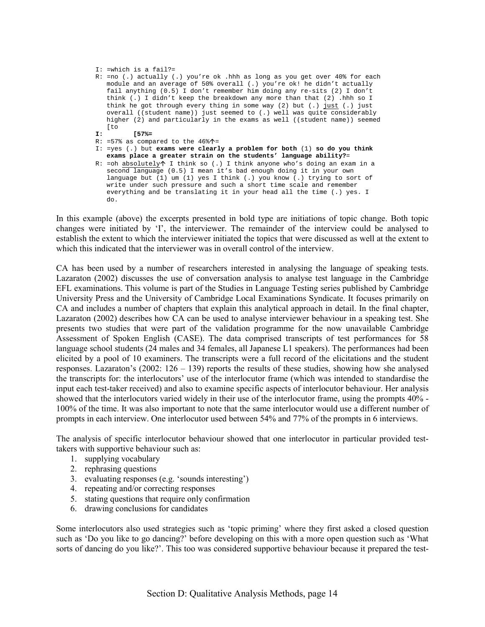```
I: =which is a fail?=
```
- R: =no (.) actually (.) you're ok .hhh as long as you get over 40% for each module and an average of 50% overall (.) you're ok! he didn't actually fail anything (0.5) I don't remember him doing any re-sits (2) I don't think (.) I didn't keep the breakdown any more than that (2) .hhh so I think he got through every thing in some way (2) but (.) just (.) just overall ((student name)) just seemed to (.) well was quite considerably higher (2) and particularly in the exams as well ((student name)) seemed [to
- **I: [57%=**
- R: =57% as compared to the  $46\%$   $\uparrow$  =
- I: =yes (.) but **exams were clearly a problem for both** (1) **so do you think exams place a greater strain on the students' language ability?**=
- R: =oh absolutely $\uparrow$  I think so (.) I think anyone who's doing an exam in a second language (0.5) I mean it's bad enough doing it in your own language but (1) um (1) yes I think (.) you know (.) trying to sort of write under such pressure and such a short time scale and remember everything and be translating it in your head all the time (.) yes. I do.

In this example (above) the excerpts presented in bold type are initiations of topic change. Both topic changes were initiated by 'I', the interviewer. The remainder of the interview could be analysed to establish the extent to which the interviewer initiated the topics that were discussed as well at the extent to which this indicated that the interviewer was in overall control of the interview.

CA has been used by a number of researchers interested in analysing the language of speaking tests. Lazaraton (2002) discusses the use of conversation analysis to analyse test language in the Cambridge EFL examinations. This volume is part of the Studies in Language Testing series published by Cambridge University Press and the University of Cambridge Local Examinations Syndicate. It focuses primarily on CA and includes a number of chapters that explain this analytical approach in detail. In the final chapter, Lazaraton (2002) describes how CA can be used to analyse interviewer behaviour in a speaking test. She presents two studies that were part of the validation programme for the now unavailable Cambridge Assessment of Spoken English (CASE). The data comprised transcripts of test performances for 58 language school students (24 males and 34 females, all Japanese L1 speakers). The performances had been elicited by a pool of 10 examiners. The transcripts were a full record of the elicitations and the student responses. Lazaraton's (2002:  $126 - 139$ ) reports the results of these studies, showing how she analysed the transcripts for: the interlocutors' use of the interlocutor frame (which was intended to standardise the input each test-taker received) and also to examine specific aspects of interlocutor behaviour. Her analysis showed that the interlocutors varied widely in their use of the interlocutor frame, using the prompts 40% - 100% of the time. It was also important to note that the same interlocutor would use a different number of prompts in each interview. One interlocutor used between 54% and 77% of the prompts in 6 interviews.

The analysis of specific interlocutor behaviour showed that one interlocutor in particular provided testtakers with supportive behaviour such as:

- 1. supplying vocabulary
- 2. rephrasing questions
- 3. evaluating responses (e.g. 'sounds interesting')
- 4. repeating and/or correcting responses
- 5. stating questions that require only confirmation
- 6. drawing conclusions for candidates

Some interlocutors also used strategies such as 'topic priming' where they first asked a closed question such as 'Do you like to go dancing?' before developing on this with a more open question such as 'What sorts of dancing do you like?'. This too was considered supportive behaviour because it prepared the test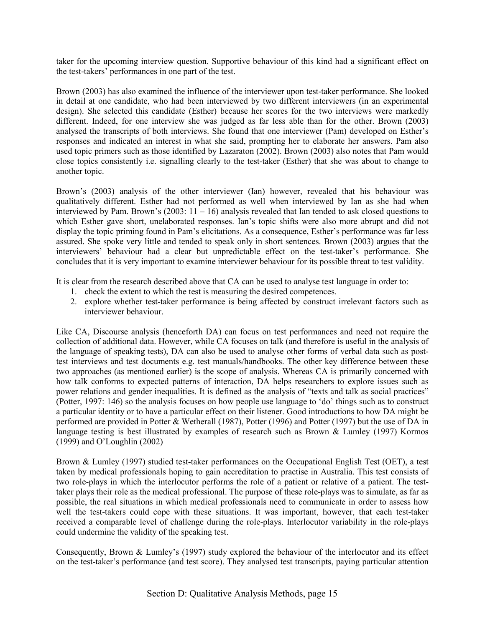taker for the upcoming interview question. Supportive behaviour of this kind had a significant effect on the test-takers' performances in one part of the test.

Brown (2003) has also examined the influence of the interviewer upon test-taker performance. She looked in detail at one candidate, who had been interviewed by two different interviewers (in an experimental design). She selected this candidate (Esther) because her scores for the two interviews were markedly different. Indeed, for one interview she was judged as far less able than for the other. Brown (2003) analysed the transcripts of both interviews. She found that one interviewer (Pam) developed on Esther's responses and indicated an interest in what she said, prompting her to elaborate her answers. Pam also used topic primers such as those identified by Lazaraton (2002). Brown (2003) also notes that Pam would close topics consistently i.e. signalling clearly to the test-taker (Esther) that she was about to change to another topic.

Brown's (2003) analysis of the other interviewer (Ian) however, revealed that his behaviour was qualitatively different. Esther had not performed as well when interviewed by Ian as she had when interviewed by Pam. Brown's (2003:  $11 - 16$ ) analysis revealed that Ian tended to ask closed questions to which Esther gave short, unelaborated responses. Ian's topic shifts were also more abrupt and did not display the topic priming found in Pam's elicitations. As a consequence, Esther's performance was far less assured. She spoke very little and tended to speak only in short sentences. Brown (2003) argues that the interviewers' behaviour had a clear but unpredictable effect on the test-taker's performance. She concludes that it is very important to examine interviewer behaviour for its possible threat to test validity.

It is clear from the research described above that CA can be used to analyse test language in order to:

- 1. check the extent to which the test is measuring the desired competences.
- 2. explore whether test-taker performance is being affected by construct irrelevant factors such as interviewer behaviour.

Like CA, Discourse analysis (henceforth DA) can focus on test performances and need not require the collection of additional data. However, while CA focuses on talk (and therefore is useful in the analysis of the language of speaking tests), DA can also be used to analyse other forms of verbal data such as posttest interviews and test documents e.g. test manuals/handbooks. The other key difference between these two approaches (as mentioned earlier) is the scope of analysis. Whereas CA is primarily concerned with how talk conforms to expected patterns of interaction, DA helps researchers to explore issues such as power relations and gender inequalities. It is defined as the analysis of "texts and talk as social practices" (Potter, 1997: 146) so the analysis focuses on how people use language to 'do' things such as to construct a particular identity or to have a particular effect on their listener. Good introductions to how DA might be performed are provided in Potter & Wetherall (1987), Potter (1996) and Potter (1997) but the use of DA in language testing is best illustrated by examples of research such as Brown & Lumley (1997) Kormos  $(1999)$  and O'Loughlin  $(2002)$ 

Brown & Lumley (1997) studied test-taker performances on the Occupational English Test (OET), a test taken by medical professionals hoping to gain accreditation to practise in Australia. This test consists of two role-plays in which the interlocutor performs the role of a patient or relative of a patient. The testtaker plays their role as the medical professional. The purpose of these role-plays was to simulate, as far as possible, the real situations in which medical professionals need to communicate in order to assess how well the test-takers could cope with these situations. It was important, however, that each test-taker received a comparable level of challenge during the role-plays. Interlocutor variability in the role-plays could undermine the validity of the speaking test.

Consequently, Brown & Lumley's (1997) study explored the behaviour of the interlocutor and its effect on the test-taker's performance (and test score). They analysed test transcripts, paying particular attention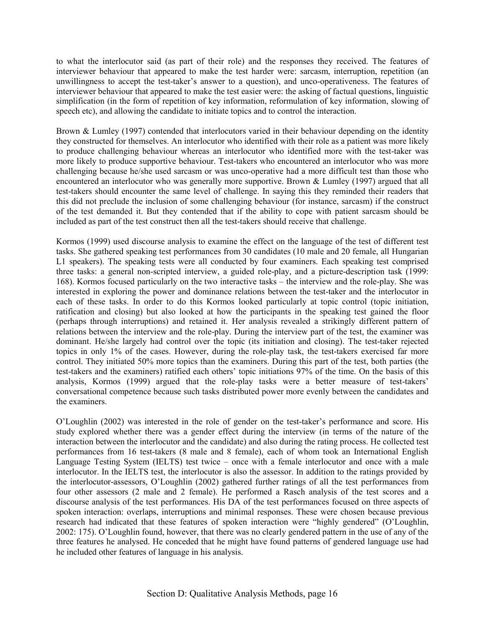to what the interlocutor said (as part of their role) and the responses they received. The features of interviewer behaviour that appeared to make the test harder were: sarcasm, interruption, repetition (an unwillingness to accept the test-taker's answer to a question), and unco-operativeness. The features of interviewer behaviour that appeared to make the test easier were: the asking of factual questions, linguistic simplification (in the form of repetition of key information, reformulation of key information, slowing of speech etc), and allowing the candidate to initiate topics and to control the interaction.

Brown & Lumley (1997) contended that interlocutors varied in their behaviour depending on the identity they constructed for themselves. An interlocutor who identified with their role as a patient was more likely to produce challenging behaviour whereas an interlocutor who identified more with the test-taker was more likely to produce supportive behaviour. Test-takers who encountered an interlocutor who was more challenging because he/she used sarcasm or was unco-operative had a more difficult test than those who encountered an interlocutor who was generally more supportive. Brown & Lumley (1997) argued that all test-takers should encounter the same level of challenge. In saying this they reminded their readers that this did not preclude the inclusion of some challenging behaviour (for instance, sarcasm) if the construct of the test demanded it. But they contended that if the ability to cope with patient sarcasm should be included as part of the test construct then all the test-takers should receive that challenge.

Kormos (1999) used discourse analysis to examine the effect on the language of the test of different test tasks. She gathered speaking test performances from 30 candidates (10 male and 20 female, all Hungarian L1 speakers). The speaking tests were all conducted by four examiners. Each speaking test comprised three tasks: a general non-scripted interview, a guided role-play, and a picture-description task (1999: 168). Kormos focused particularly on the two interactive tasks – the interview and the role-play. She was interested in exploring the power and dominance relations between the test-taker and the interlocutor in each of these tasks. In order to do this Kormos looked particularly at topic control (topic initiation, ratification and closing) but also looked at how the participants in the speaking test gained the floor (perhaps through interruptions) and retained it. Her analysis revealed a strikingly different pattern of relations between the interview and the role-play. During the interview part of the test, the examiner was dominant. He/she largely had control over the topic (its initiation and closing). The test-taker rejected topics in only 1% of the cases. However, during the role-play task, the test-takers exercised far more control. They initiated 50% more topics than the examiners. During this part of the test, both parties (the test-takers and the examiners) ratified each others' topic initiations 97% of the time. On the basis of this analysis, Kormos (1999) argued that the role-play tasks were a better measure of test-takers' conversational competence because such tasks distributed power more evenly between the candidates and the examiners.

O'Loughlin (2002) was interested in the role of gender on the test-taker's performance and score. His study explored whether there was a gender effect during the interview (in terms of the nature of the interaction between the interlocutor and the candidate) and also during the rating process. He collected test performances from 16 test-takers (8 male and 8 female), each of whom took an International English Language Testing System (IELTS) test twice – once with a female interlocutor and once with a male interlocutor. In the IELTS test, the interlocutor is also the assessor. In addition to the ratings provided by the interlocutor-assessors, O'Loughlin (2002) gathered further ratings of all the test performances from four other assessors (2 male and 2 female). He performed a Rasch analysis of the test scores and a discourse analysis of the test performances. His DA of the test performances focused on three aspects of spoken interaction: overlaps, interruptions and minimal responses. These were chosen because previous research had indicated that these features of spoken interaction were "highly gendered" (O'Loughlin, 2002: 175). O'Loughlin found, however, that there was no clearly gendered pattern in the use of any of the three features he analysed. He conceded that he might have found patterns of gendered language use had he included other features of language in his analysis.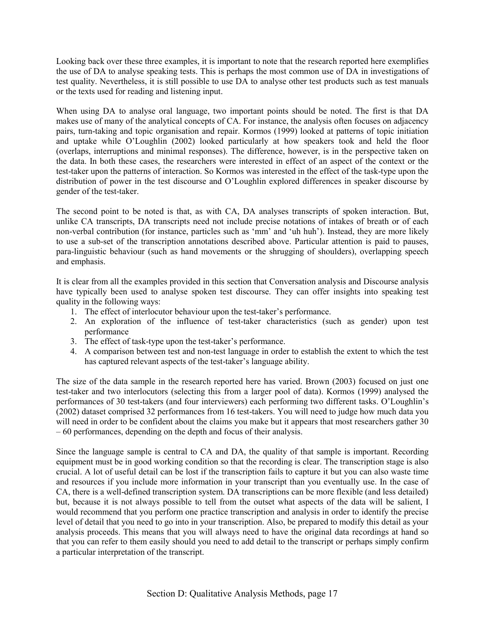Looking back over these three examples, it is important to note that the research reported here exemplifies the use of DA to analyse speaking tests. This is perhaps the most common use of DA in investigations of test quality. Nevertheless, it is still possible to use DA to analyse other test products such as test manuals or the texts used for reading and listening input.

When using DA to analyse oral language, two important points should be noted. The first is that DA makes use of many of the analytical concepts of CA. For instance, the analysis often focuses on adjacency pairs, turn-taking and topic organisation and repair. Kormos (1999) looked at patterns of topic initiation and uptake while O'Loughlin (2002) looked particularly at how speakers took and held the floor (overlaps, interruptions and minimal responses). The difference, however, is in the perspective taken on the data. In both these cases, the researchers were interested in effect of an aspect of the context or the test-taker upon the patterns of interaction. So Kormos was interested in the effect of the task-type upon the distribution of power in the test discourse and O'Loughlin explored differences in speaker discourse by gender of the test-taker.

The second point to be noted is that, as with CA, DA analyses transcripts of spoken interaction. But, unlike CA transcripts, DA transcripts need not include precise notations of intakes of breath or of each non-verbal contribution (for instance, particles such as 'mm' and 'uh huh'). Instead, they are more likely to use a sub-set of the transcription annotations described above. Particular attention is paid to pauses, para-linguistic behaviour (such as hand movements or the shrugging of shoulders), overlapping speech and emphasis.

It is clear from all the examples provided in this section that Conversation analysis and Discourse analysis have typically been used to analyse spoken test discourse. They can offer insights into speaking test quality in the following ways:

- 1. The effect of interlocutor behaviour upon the test-taker's performance.
- 2. An exploration of the influence of test-taker characteristics (such as gender) upon test performance
- 3. The effect of task-type upon the test-taker's performance.
- 4. A comparison between test and non-test language in order to establish the extent to which the test has captured relevant aspects of the test-taker's language ability.

The size of the data sample in the research reported here has varied. Brown (2003) focused on just one test-taker and two interlocutors (selecting this from a larger pool of data). Kormos (1999) analysed the performances of 30 test-takers (and four interviewers) each performing two different tasks. O'Loughlin's (2002) dataset comprised 32 performances from 16 test-takers. You will need to judge how much data you will need in order to be confident about the claims you make but it appears that most researchers gather 30  $-60$  performances, depending on the depth and focus of their analysis.

Since the language sample is central to CA and DA, the quality of that sample is important. Recording equipment must be in good working condition so that the recording is clear. The transcription stage is also crucial. A lot of useful detail can be lost if the transcription fails to capture it but you can also waste time and resources if you include more information in your transcript than you eventually use. In the case of CA, there is a well-defined transcription system. DA transcriptions can be more flexible (and less detailed) but, because it is not always possible to tell from the outset what aspects of the data will be salient, I would recommend that you perform one practice transcription and analysis in order to identify the precise level of detail that you need to go into in your transcription. Also, be prepared to modify this detail as your analysis proceeds. This means that you will always need to have the original data recordings at hand so that you can refer to them easily should you need to add detail to the transcript or perhaps simply confirm a particular interpretation of the transcript.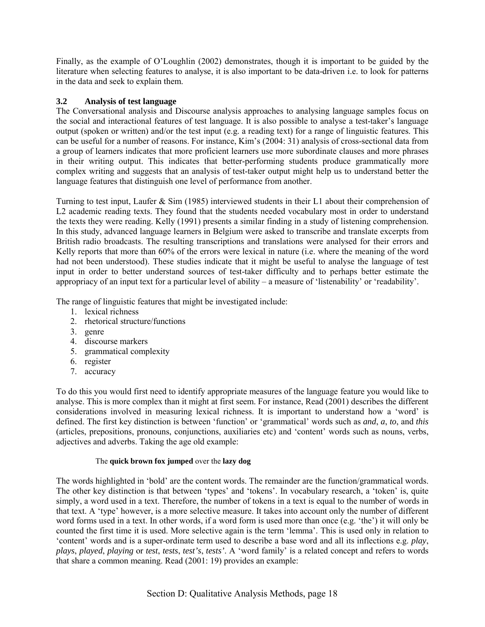Finally, as the example of O'Loughlin (2002) demonstrates, though it is important to be guided by the literature when selecting features to analyse, it is also important to be data-driven i.e. to look for patterns in the data and seek to explain them.

# **3.2 Analysis of test language**

The Conversational analysis and Discourse analysis approaches to analysing language samples focus on the social and interactional features of test language. It is also possible to analyse a test-taker's language output (spoken or written) and/or the test input (e.g. a reading text) for a range of linguistic features. This can be useful for a number of reasons. For instance, Kim's (2004: 31) analysis of cross-sectional data from a group of learners indicates that more proficient learners use more subordinate clauses and more phrases in their writing output. This indicates that better-performing students produce grammatically more complex writing and suggests that an analysis of test-taker output might help us to understand better the language features that distinguish one level of performance from another.

Turning to test input, Laufer & Sim (1985) interviewed students in their L1 about their comprehension of L2 academic reading texts. They found that the students needed vocabulary most in order to understand the texts they were reading. Kelly (1991) presents a similar finding in a study of listening comprehension. In this study, advanced language learners in Belgium were asked to transcribe and translate excerpts from British radio broadcasts. The resulting transcriptions and translations were analysed for their errors and Kelly reports that more than 60% of the errors were lexical in nature (i.e. where the meaning of the word had not been understood). These studies indicate that it might be useful to analyse the language of test input in order to better understand sources of test-taker difficulty and to perhaps better estimate the appropriacy of an input text for a particular level of ability – a measure of 'listenability' or 'readability'.

The range of linguistic features that might be investigated include:

- 1. lexical richness
- 2. rhetorical structure/functions
- 3. genre
- 4. discourse markers
- 5. grammatical complexity
- 6. register
- 7. accuracy

To do this you would first need to identify appropriate measures of the language feature you would like to analyse. This is more complex than it might at first seem. For instance, Read (2001) describes the different considerations involved in measuring lexical richness. It is important to understand how a 'word' is defined. The first key distinction is between 'function' or 'grammatical' words such as *and*, *a*, *to*, and *this* (articles, prepositions, pronouns, conjunctions, auxiliaries etc) and 'content' words such as nouns, verbs, adjectives and adverbs. Taking the age old example:

#### The **quick brown fox jumped** over the **lazy dog**

The words highlighted in 'bold' are the content words. The remainder are the function/grammatical words. The other key distinction is that between 'types' and 'tokens'. In vocabulary research, a 'token' is, quite simply, a word used in a text. Therefore, the number of tokens in a text is equal to the number of words in that text. A 'type' however, is a more selective measure. It takes into account only the number of different word forms used in a text. In other words, if a word form is used more than once (e.g. 'the') it will only be counted the first time it is used. More selective again is the term 'lemma'. This is used only in relation to ëcontentí words and is a super-ordinate term used to describe a base word and all its inflections e.g. *play*, *plays, played, playing* or *test, tests, test's, tests'*. A 'word family' is a related concept and refers to words that share a common meaning. Read (2001: 19) provides an example: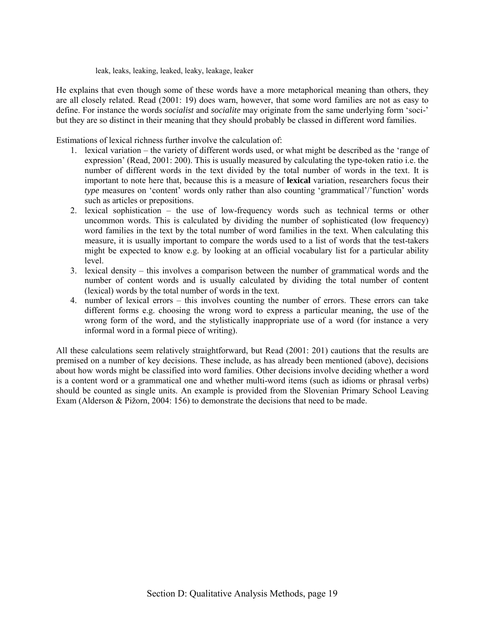leak, leaks, leaking, leaked, leaky, leakage, leaker

He explains that even though some of these words have a more metaphorical meaning than others, they are all closely related. Read (2001: 19) does warn, however, that some word families are not as easy to define. For instance the words *socialist* and *socialite* may originate from the same underlying form 'soci-' but they are so distinct in their meaning that they should probably be classed in different word families.

Estimations of lexical richness further involve the calculation of:

- 1. lexical variation the variety of different words used, or what might be described as the 'range of expression' (Read, 2001: 200). This is usually measured by calculating the type-token ratio i.e. the number of different words in the text divided by the total number of words in the text. It is important to note here that, because this is a measure of **lexical** variation, researchers focus their *type* measures on 'content' words only rather than also counting 'grammatical'/'function' words such as articles or prepositions.
- 2. lexical sophistication  $-$  the use of low-frequency words such as technical terms or other uncommon words. This is calculated by dividing the number of sophisticated (low frequency) word families in the text by the total number of word families in the text. When calculating this measure, it is usually important to compare the words used to a list of words that the test-takers might be expected to know e.g. by looking at an official vocabulary list for a particular ability level.
- 3. lexical density  $-$  this involves a comparison between the number of grammatical words and the number of content words and is usually calculated by dividing the total number of content (lexical) words by the total number of words in the text.
- 4. number of lexical errors this involves counting the number of errors. These errors can take different forms e.g. choosing the wrong word to express a particular meaning, the use of the wrong form of the word, and the stylistically inappropriate use of a word (for instance a very informal word in a formal piece of writing).

All these calculations seem relatively straightforward, but Read (2001: 201) cautions that the results are premised on a number of key decisions. These include, as has already been mentioned (above), decisions about how words might be classified into word families. Other decisions involve deciding whether a word is a content word or a grammatical one and whether multi-word items (such as idioms or phrasal verbs) should be counted as single units. An example is provided from the Slovenian Primary School Leaving Exam (Alderson & Pižorn, 2004: 156) to demonstrate the decisions that need to be made.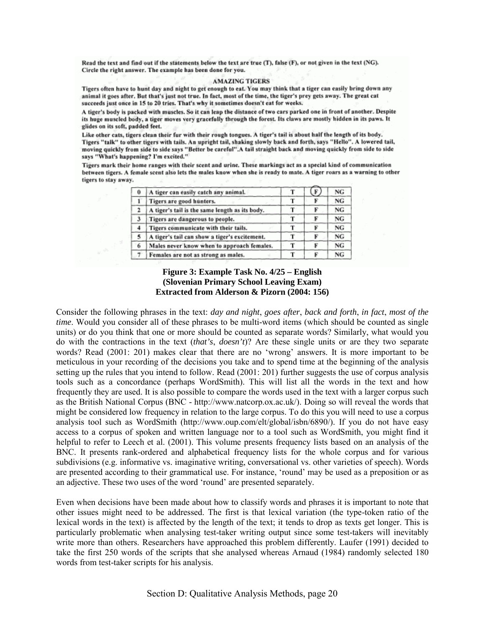Read the text and find out if the statements below the text are true (T), false (F), or not given in the text (NG). Circle the right answer. The example has been done for you.

#### **AMAZING TIGERS**

Tigers often have to hunt day and night to get enough to eat. You may think that a tiger can easily bring down any animal it goes after. But that's just not true. In fact, most of the time, the tiger's prey gets away. The great cat succeeds just once in 15 to 20 tries. That's why it sometimes doesn't eat for weeks.

A tiger's body is packed with muscles. So it can leap the distance of two cars parked one in front of another. Despite its huge muscled body, a tiger moves very gracefully through the forest. Its claws are mostly hidden in its paws. It glides on its soft, padded feet.

Like other cats, tigers clean their fur with their rough tongues. A tiger's tail is about half the length of its body. Tigers "talk" to other tigers with tails. An upright tail, shaking slowly back and forth, says "Hello". A lowered tail, moving quickly from side to side says "Better be careful". A tail straight back and moving quickly from side to side says "What's happening? I'm excited."

Tigers mark their home ranges with their scent and urine. These markings act as a special kind of communication between tigers. A female scent also lets the males know when she is ready to mate. A tiger roars as a warning to other tigers to stay away.

| 0 | A tiger can easily catch any animal.           |  | NG. |
|---|------------------------------------------------|--|-----|
|   | Tigers are good hunters.                       |  | NG  |
| 2 | A tiger's tail is the same length as its body. |  | NG  |
| 3 | Tigers are dangerous to people.                |  | NG  |
| 4 | Tigers communicate with their tails.           |  | NG. |
| 5 | A tiger's tail can show a tiger's excitement.  |  | NG  |
| 6 | Males never know when to approach females.     |  | NG. |
|   | Females are not as strong as males.            |  | NG  |

#### **Figure 3: Example Task No. 4/25 – English (Slovenian Primary School Leaving Exam) Extracted from Alderson & Pizorn (2004: 156)**

Consider the following phrases in the text: *day and night*, *goes after*, *back and forth*, *in fact*, *most of the time*. Would you consider all of these phrases to be multi-word items (which should be counted as single units) or do you think that one or more should be counted as separate words? Similarly, what would you do with the contractions in the text (*that's*, *doesn't*)? Are these single units or are they two separate words? Read (2001: 201) makes clear that there are no 'wrong' answers. It is more important to be meticulous in your recording of the decisions you take and to spend time at the beginning of the analysis setting up the rules that you intend to follow. Read (2001: 201) further suggests the use of corpus analysis tools such as a concordance (perhaps WordSmith). This will list all the words in the text and how frequently they are used. It is also possible to compare the words used in the text with a larger corpus such as the British National Corpus (BNC - http://www.natcorp.ox.ac.uk/). Doing so will reveal the words that might be considered low frequency in relation to the large corpus. To do this you will need to use a corpus analysis tool such as WordSmith (http://www.oup.com/elt/global/isbn/6890/). If you do not have easy access to a corpus of spoken and written language nor to a tool such as WordSmith, you might find it helpful to refer to Leech et al. (2001). This volume presents frequency lists based on an analysis of the BNC. It presents rank-ordered and alphabetical frequency lists for the whole corpus and for various subdivisions (e.g. informative vs. imaginative writing, conversational vs. other varieties of speech). Words are presented according to their grammatical use. For instance, 'round' may be used as a preposition or as an adjective. These two uses of the word 'round' are presented separately.

Even when decisions have been made about how to classify words and phrases it is important to note that other issues might need to be addressed. The first is that lexical variation (the type-token ratio of the lexical words in the text) is affected by the length of the text; it tends to drop as texts get longer. This is particularly problematic when analysing test-taker writing output since some test-takers will inevitably write more than others. Researchers have approached this problem differently. Laufer (1991) decided to take the first 250 words of the scripts that she analysed whereas Arnaud (1984) randomly selected 180 words from test-taker scripts for his analysis.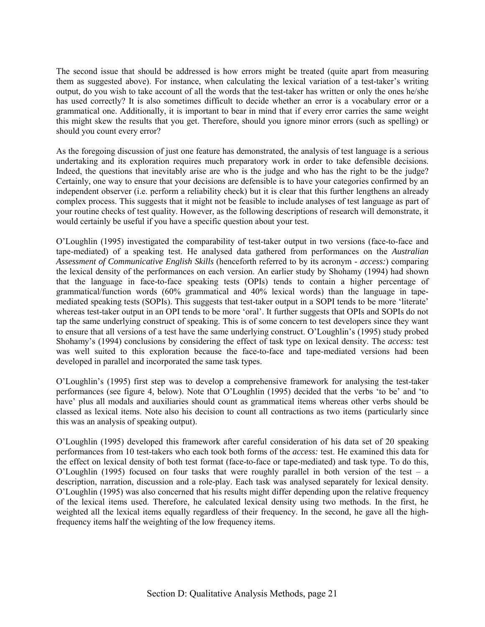The second issue that should be addressed is how errors might be treated (quite apart from measuring them as suggested above). For instance, when calculating the lexical variation of a test-taker's writing output, do you wish to take account of all the words that the test-taker has written or only the ones he/she has used correctly? It is also sometimes difficult to decide whether an error is a vocabulary error or a grammatical one. Additionally, it is important to bear in mind that if every error carries the same weight this might skew the results that you get. Therefore, should you ignore minor errors (such as spelling) or should you count every error?

As the foregoing discussion of just one feature has demonstrated, the analysis of test language is a serious undertaking and its exploration requires much preparatory work in order to take defensible decisions. Indeed, the questions that inevitably arise are who is the judge and who has the right to be the judge? Certainly, one way to ensure that your decisions are defensible is to have your categories confirmed by an independent observer (i.e. perform a reliability check) but it is clear that this further lengthens an already complex process. This suggests that it might not be feasible to include analyses of test language as part of your routine checks of test quality. However, as the following descriptions of research will demonstrate, it would certainly be useful if you have a specific question about your test.

OíLoughlin (1995) investigated the comparability of test-taker output in two versions (face-to-face and tape-mediated) of a speaking test. He analysed data gathered from performances on the *Australian Assessment of Communicative English Skills* (henceforth referred to by its acronym - *access:*) comparing the lexical density of the performances on each version. An earlier study by Shohamy (1994) had shown that the language in face-to-face speaking tests (OPIs) tends to contain a higher percentage of grammatical/function words (60% grammatical and 40% lexical words) than the language in tapemediated speaking tests (SOPIs). This suggests that test-taker output in a SOPI tends to be more 'literate' whereas test-taker output in an OPI tends to be more 'oral'. It further suggests that OPIs and SOPIs do not tap the same underlying construct of speaking. This is of some concern to test developers since they want to ensure that all versions of a test have the same underlying construct. O'Loughlin's (1995) study probed Shohamyís (1994) conclusions by considering the effect of task type on lexical density. The *access:* test was well suited to this exploration because the face-to-face and tape-mediated versions had been developed in parallel and incorporated the same task types.

OíLoughlinís (1995) first step was to develop a comprehensive framework for analysing the test-taker performances (see figure 4, below). Note that O'Loughlin (1995) decided that the verbs 'to be' and 'to have' plus all modals and auxiliaries should count as grammatical items whereas other verbs should be classed as lexical items. Note also his decision to count all contractions as two items (particularly since this was an analysis of speaking output).

OíLoughlin (1995) developed this framework after careful consideration of his data set of 20 speaking performances from 10 test-takers who each took both forms of the *access:* test. He examined this data for the effect on lexical density of both test format (face-to-face or tape-mediated) and task type. To do this, O'Loughlin (1995) focused on four tasks that were roughly parallel in both version of the test – a description, narration, discussion and a role-play. Each task was analysed separately for lexical density. OíLoughlin (1995) was also concerned that his results might differ depending upon the relative frequency of the lexical items used. Therefore, he calculated lexical density using two methods. In the first, he weighted all the lexical items equally regardless of their frequency. In the second, he gave all the highfrequency items half the weighting of the low frequency items.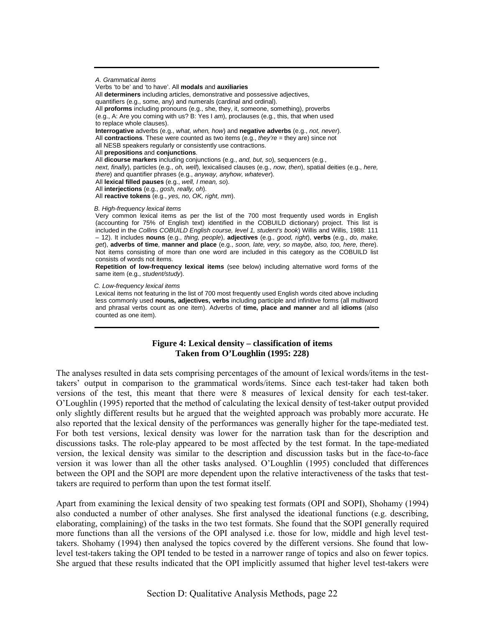*A. Grammatical items*  Verbs 'to be' and 'to have'. All **modals** and **auxiliaries** All **determiners** including articles, demonstrative and possessive adjectives, quantifiers (e.g., some, any) and numerals (cardinal and ordinal). All **proforms** including pronouns (e.g., she, they, it, someone, something), proverbs (e.g., A: Are you coming with us? B: Yes I *am*), proclauses (e.g., this, that when used to replace whole clauses). **Interrogative** adverbs (e.g., *what, when, how*) and **negative adverbs** (e.g., *not, never*). All **contractions**. These were counted as two items (e.g., *they're* = they are) since not all NESB speakers regularly or consistently use contractions. All **prepositions** and **conjunctions**. All **dicourse markers** including conjunctions (e.g., *and, but, so*), sequencers (e.g., *next, finally*), particles (e.g., *oh, well*), lexicalised clauses (e.g., *now, then*), spatial deities (e.g., *here, there*) and quantifier phrases (e.g., *anyway, anyhow, whatever*). All **lexical filled pauses** (e.g., *well, I mean, so*). All **interjections** (e.g., *gosh, really, oh*). All **reactive tokens** (e.g., *yes, no, OK, right, mm*). *B. High-frequency lexical items*  Very common lexical items as per the list of the 700 most frequently used words in English

(accounting for 75% of English text) identified in the COBUILD dictionary) project. This list is included in the *Collins COBUILD English course, level 1, student's book*) Willis and Willis, 1988: 111 – 12). It includes **nouns** (e.g., *thing, people*), **adjectives** (e.g., *good, right*), **verbs** (e.g., *do, make, get*), **adverbs of time**, **manner and place** (e.g., *soon, late, very, so maybe, also, too, here, there*). Not items consisting of more than one word are included in this category as the COBUILD list consists of words not items.

**Repetition of low-frequency lexical items** (see below) including alternative word forms of the same item (e.g., *student/study*).

#### *C. Low-frequency lexical items*

Lexical items not featuring in the list of 700 most frequently used English words cited above including less commonly used **nouns, adjectives, verbs** including participle and infinitive forms (all multiword and phrasal verbs count as one item). Adverbs of **time, place and manner** and all **idioms** (also counted as one item).

#### **Figure 4: Lexical density – classification of items Taken from O'Loughlin (1995: 228)**

The analyses resulted in data sets comprising percentages of the amount of lexical words/items in the testtakers' output in comparison to the grammatical words/items. Since each test-taker had taken both versions of the test, this meant that there were 8 measures of lexical density for each test-taker. OíLoughlin (1995) reported that the method of calculating the lexical density of test-taker output provided only slightly different results but he argued that the weighted approach was probably more accurate. He also reported that the lexical density of the performances was generally higher for the tape-mediated test. For both test versions, lexical density was lower for the narration task than for the description and discussions tasks. The role-play appeared to be most affected by the test format. In the tape-mediated version, the lexical density was similar to the description and discussion tasks but in the face-to-face version it was lower than all the other tasks analysed. O'Loughlin (1995) concluded that differences between the OPI and the SOPI are more dependent upon the relative interactiveness of the tasks that testtakers are required to perform than upon the test format itself.

Apart from examining the lexical density of two speaking test formats (OPI and SOPI), Shohamy (1994) also conducted a number of other analyses. She first analysed the ideational functions (e.g. describing, elaborating, complaining) of the tasks in the two test formats. She found that the SOPI generally required more functions than all the versions of the OPI analysed i.e. those for low, middle and high level testtakers. Shohamy (1994) then analysed the topics covered by the different versions. She found that lowlevel test-takers taking the OPI tended to be tested in a narrower range of topics and also on fewer topics. She argued that these results indicated that the OPI implicitly assumed that higher level test-takers were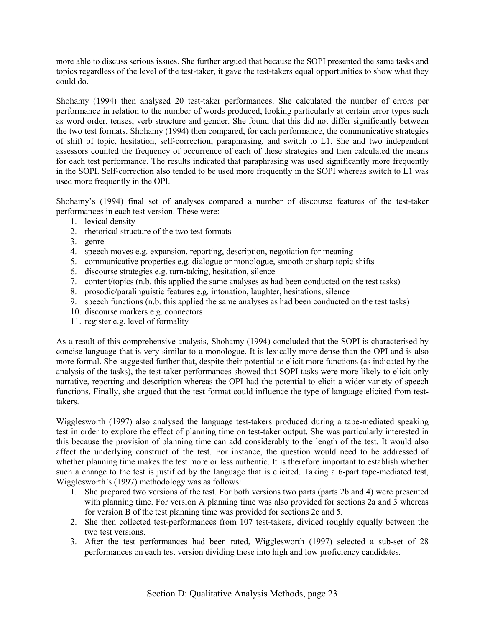more able to discuss serious issues. She further argued that because the SOPI presented the same tasks and topics regardless of the level of the test-taker, it gave the test-takers equal opportunities to show what they could do.

Shohamy (1994) then analysed 20 test-taker performances. She calculated the number of errors per performance in relation to the number of words produced, looking particularly at certain error types such as word order, tenses, verb structure and gender. She found that this did not differ significantly between the two test formats. Shohamy (1994) then compared, for each performance, the communicative strategies of shift of topic, hesitation, self-correction, paraphrasing, and switch to L1. She and two independent assessors counted the frequency of occurrence of each of these strategies and then calculated the means for each test performance. The results indicated that paraphrasing was used significantly more frequently in the SOPI. Self-correction also tended to be used more frequently in the SOPI whereas switch to L1 was used more frequently in the OPI.

Shohamyís (1994) final set of analyses compared a number of discourse features of the test-taker performances in each test version. These were:

- 1. lexical density
- 2. rhetorical structure of the two test formats
- 3. genre
- 4. speech moves e.g. expansion, reporting, description, negotiation for meaning
- 5. communicative properties e.g. dialogue or monologue, smooth or sharp topic shifts
- 6. discourse strategies e.g. turn-taking, hesitation, silence
- 7. content/topics (n.b. this applied the same analyses as had been conducted on the test tasks)
- 8. prosodic/paralinguistic features e.g. intonation, laughter, hesitations, silence
- 9. speech functions (n.b. this applied the same analyses as had been conducted on the test tasks)
- 10. discourse markers e.g. connectors
- 11. register e.g. level of formality

As a result of this comprehensive analysis, Shohamy (1994) concluded that the SOPI is characterised by concise language that is very similar to a monologue. It is lexically more dense than the OPI and is also more formal. She suggested further that, despite their potential to elicit more functions (as indicated by the analysis of the tasks), the test-taker performances showed that SOPI tasks were more likely to elicit only narrative, reporting and description whereas the OPI had the potential to elicit a wider variety of speech functions. Finally, she argued that the test format could influence the type of language elicited from testtakers.

Wigglesworth (1997) also analysed the language test-takers produced during a tape-mediated speaking test in order to explore the effect of planning time on test-taker output. She was particularly interested in this because the provision of planning time can add considerably to the length of the test. It would also affect the underlying construct of the test. For instance, the question would need to be addressed of whether planning time makes the test more or less authentic. It is therefore important to establish whether such a change to the test is justified by the language that is elicited. Taking a 6-part tape-mediated test, Wigglesworth's (1997) methodology was as follows:

- 1. She prepared two versions of the test. For both versions two parts (parts 2b and 4) were presented with planning time. For version A planning time was also provided for sections 2a and 3 whereas for version B of the test planning time was provided for sections 2c and 5.
- 2. She then collected test-performances from 107 test-takers, divided roughly equally between the two test versions.
- 3. After the test performances had been rated, Wigglesworth (1997) selected a sub-set of 28 performances on each test version dividing these into high and low proficiency candidates.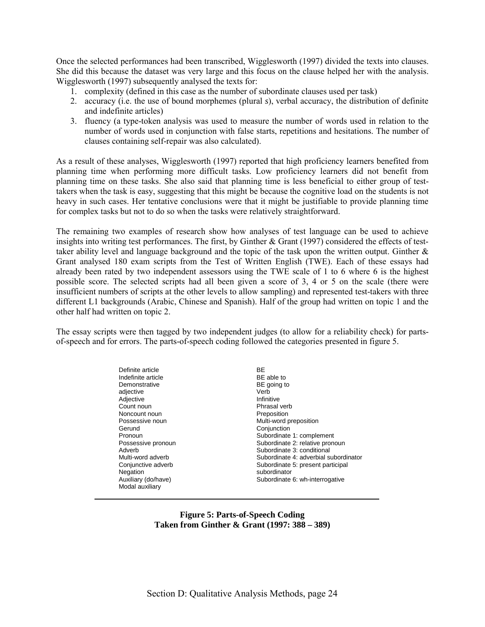Once the selected performances had been transcribed, Wigglesworth (1997) divided the texts into clauses. She did this because the dataset was very large and this focus on the clause helped her with the analysis. Wigglesworth (1997) subsequently analysed the texts for:

- 1. complexity (defined in this case as the number of subordinate clauses used per task)
- 2. accuracy (i.e. the use of bound morphemes (plural *s*), verbal accuracy, the distribution of definite and indefinite articles)
- 3. fluency (a type-token analysis was used to measure the number of words used in relation to the number of words used in conjunction with false starts, repetitions and hesitations. The number of clauses containing self-repair was also calculated).

As a result of these analyses, Wigglesworth (1997) reported that high proficiency learners benefited from planning time when performing more difficult tasks. Low proficiency learners did not benefit from planning time on these tasks. She also said that planning time is less beneficial to either group of testtakers when the task is easy, suggesting that this might be because the cognitive load on the students is not heavy in such cases. Her tentative conclusions were that it might be justifiable to provide planning time for complex tasks but not to do so when the tasks were relatively straightforward.

The remaining two examples of research show how analyses of test language can be used to achieve insights into writing test performances. The first, by Ginther & Grant (1997) considered the effects of testtaker ability level and language background and the topic of the task upon the written output. Ginther  $\&$ Grant analysed 180 exam scripts from the Test of Written English (TWE). Each of these essays had already been rated by two independent assessors using the TWE scale of 1 to 6 where 6 is the highest possible score. The selected scripts had all been given a score of 3, 4 or 5 on the scale (there were insufficient numbers of scripts at the other levels to allow sampling) and represented test-takers with three different L1 backgrounds (Arabic, Chinese and Spanish). Half of the group had written on topic 1 and the other half had written on topic 2.

The essay scripts were then tagged by two independent judges (to allow for a reliability check) for partsof-speech and for errors. The parts-of-speech coding followed the categories presented in figure 5.

| Definite article<br>Indefinite article<br>Demonstrative<br>adjective |  |
|----------------------------------------------------------------------|--|
| Adjective                                                            |  |
| Count noun                                                           |  |
| Noncount noun                                                        |  |
| Possessive noun                                                      |  |
| Gerund                                                               |  |
| Pronoun                                                              |  |
| Possessive pronoun                                                   |  |
| Adverb                                                               |  |
| Multi-word adverb                                                    |  |
| Conjunctive adverb                                                   |  |
| Negation                                                             |  |
| Auxiliary (do/have)                                                  |  |
| Modal auxiliary                                                      |  |

**BF** BE able to BE going to Verb Infinitive Phrasal verb **Preposition** Multi-word preposition **Conjunction** Subordinate 1: complement Subordinate 2: relative pronoun Subordinate 3: conditional Subordinate 4: adverbial subordinator Subordinate 5: present participal subordinator Subordinate 6: wh-interrogative

**Figure 5: Parts-of-Speech Coding Taken from Ginther & Grant (1997: 388 – 389)**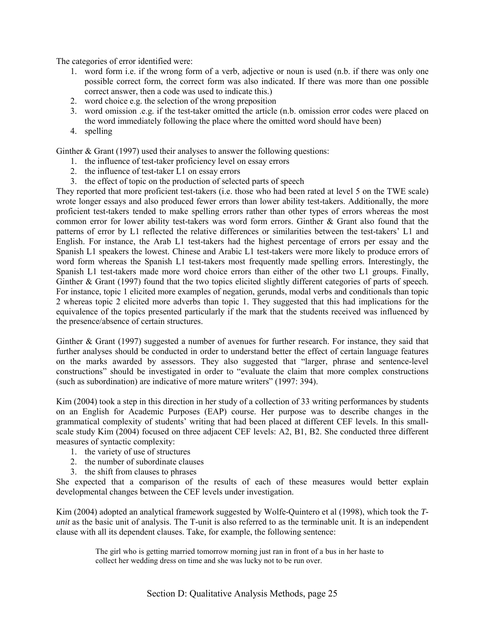The categories of error identified were:

- 1. word form i.e. if the wrong form of a verb, adjective or noun is used (n.b. if there was only one possible correct form, the correct form was also indicated. If there was more than one possible correct answer, then a code was used to indicate this.)
- 2. word choice e.g. the selection of the wrong preposition
- 3. word omission .e.g. if the test-taker omitted the article (n.b. omission error codes were placed on the word immediately following the place where the omitted word should have been)
- 4. spelling

Ginther & Grant (1997) used their analyses to answer the following questions:

- 1. the influence of test-taker proficiency level on essay errors
- 2. the influence of test-taker L1 on essay errors
- 3. the effect of topic on the production of selected parts of speech

They reported that more proficient test-takers (i.e. those who had been rated at level 5 on the TWE scale) wrote longer essays and also produced fewer errors than lower ability test-takers. Additionally, the more proficient test-takers tended to make spelling errors rather than other types of errors whereas the most common error for lower ability test-takers was word form errors. Ginther & Grant also found that the patterns of error by L1 reflected the relative differences or similarities between the test-takers' L1 and English. For instance, the Arab L1 test-takers had the highest percentage of errors per essay and the Spanish L1 speakers the lowest. Chinese and Arabic L1 test-takers were more likely to produce errors of word form whereas the Spanish L1 test-takers most frequently made spelling errors. Interestingly, the Spanish L1 test-takers made more word choice errors than either of the other two L1 groups. Finally, Ginther & Grant (1997) found that the two topics elicited slightly different categories of parts of speech. For instance, topic 1 elicited more examples of negation, gerunds, modal verbs and conditionals than topic 2 whereas topic 2 elicited more adverbs than topic 1. They suggested that this had implications for the equivalence of the topics presented particularly if the mark that the students received was influenced by the presence/absence of certain structures.

Ginther & Grant (1997) suggested a number of avenues for further research. For instance, they said that further analyses should be conducted in order to understand better the effect of certain language features on the marks awarded by assessors. They also suggested that "larger, phrase and sentence-level constructions" should be investigated in order to "evaluate the claim that more complex constructions (such as subordination) are indicative of more mature writers" (1997: 394).

Kim (2004) took a step in this direction in her study of a collection of 33 writing performances by students on an English for Academic Purposes (EAP) course. Her purpose was to describe changes in the grammatical complexity of studentsí writing that had been placed at different CEF levels. In this smallscale study Kim (2004) focused on three adjacent CEF levels: A2, B1, B2. She conducted three different measures of syntactic complexity:

- 1. the variety of use of structures
- 2. the number of subordinate clauses
- 3. the shift from clauses to phrases

She expected that a comparison of the results of each of these measures would better explain developmental changes between the CEF levels under investigation.

Kim (2004) adopted an analytical framework suggested by Wolfe-Quintero et al (1998), which took the *Tunit* as the basic unit of analysis. The T-unit is also referred to as the terminable unit. It is an independent clause with all its dependent clauses. Take, for example, the following sentence:

> The girl who is getting married tomorrow morning just ran in front of a bus in her haste to collect her wedding dress on time and she was lucky not to be run over.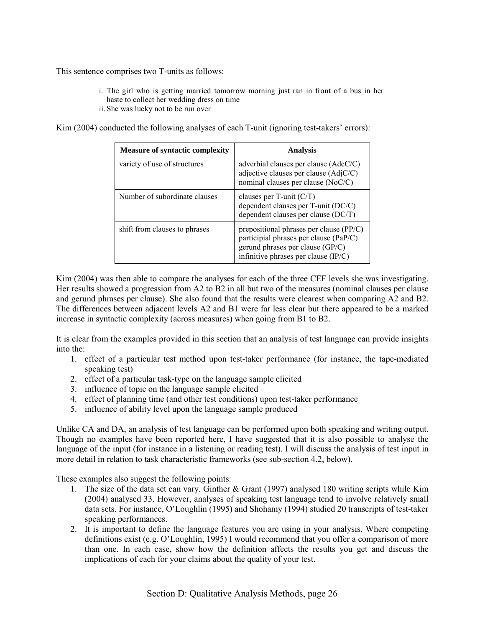This sentence comprises two T-units as follows:

- i. The girl who is getting married tomorrow morning just ran in front of a bus in her haste to collect her wedding dress on time
- ii. She was lucky not to be run over

Kim  $(2004)$  conducted the following analyses of each T-unit (ignoring test-takers' errors):

| <b>Measure of syntactic complexity</b> | <b>Analysis</b>                                                                                                                                                 |
|----------------------------------------|-----------------------------------------------------------------------------------------------------------------------------------------------------------------|
| variety of use of structures           | adverbial clauses per clause $(AdcC/C)$<br>adjective clauses per clause $(AdjC/C)$<br>nominal clauses per clause (NoC/C)                                        |
| Number of subordinate clauses          | clauses per $T$ -unit $(C/T)$<br>dependent clauses per T-unit (DC/C)<br>dependent clauses per clause (DC/T)                                                     |
| shift from clauses to phrases          | prepositional phrases per clause $(PP/C)$<br>participial phrases per clause (PaP/C)<br>gerund phrases per clause (GP/C)<br>infinitive phrases per clause (IP/C) |

Kim (2004) was then able to compare the analyses for each of the three CEF levels she was investigating. Her results showed a progression from A2 to B2 in all but two of the measures (nominal clauses per clause and gerund phrases per clause). She also found that the results were clearest when comparing A2 and B2. The differences between adjacent levels A2 and B1 were far less clear but there appeared to be a marked increase in syntactic complexity (across measures) when going from B1 to B2.

It is clear from the examples provided in this section that an analysis of test language can provide insights into the:

- 1. effect of a particular test method upon test-taker performance (for instance, the tape-mediated speaking test)
- 2. effect of a particular task-type on the language sample elicited
- 3. influence of topic on the language sample elicited
- 4. effect of planning time (and other test conditions) upon test-taker performance
- 5. influence of ability level upon the language sample produced

Unlike CA and DA, an analysis of test language can be performed upon both speaking and writing output. Though no examples have been reported here, I have suggested that it is also possible to analyse the language of the input (for instance in a listening or reading test). I will discuss the analysis of test input in more detail in relation to task characteristic frameworks (see sub-section 4.2, below).

These examples also suggest the following points:

- 1. The size of the data set can vary. Ginther & Grant (1997) analysed 180 writing scripts while Kim (2004) analysed 33. However, analyses of speaking test language tend to involve relatively small data sets. For instance, O'Loughlin (1995) and Shohamy (1994) studied 20 transcripts of test-taker speaking performances.
- 2. It is important to define the language features you are using in your analysis. Where competing definitions exist (e.g. O'Loughlin, 1995) I would recommend that you offer a comparison of more than one. In each case, show how the definition affects the results you get and discuss the implications of each for your claims about the quality of your test.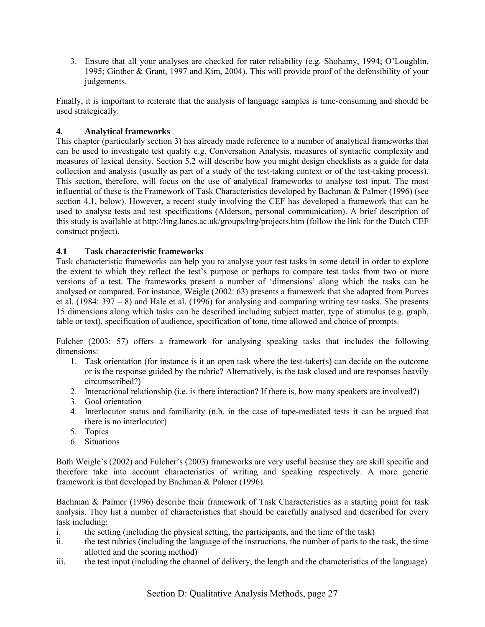3. Ensure that all your analyses are checked for rater reliability (e.g. Shohamy, 1994; O'Loughlin, 1995; Ginther & Grant, 1997 and Kim, 2004). This will provide proof of the defensibility of your judgements.

Finally, it is important to reiterate that the analysis of language samples is time-consuming and should be used strategically.

# **4. Analytical frameworks**

This chapter (particularly section 3) has already made reference to a number of analytical frameworks that can be used to investigate test quality e.g. Conversation Analysis, measures of syntactic complexity and measures of lexical density. Section 5.2 will describe how you might design checklists as a guide for data collection and analysis (usually as part of a study of the test-taking context or of the test-taking process). This section, therefore, will focus on the use of analytical frameworks to analyse test input. The most influential of these is the Framework of Task Characteristics developed by Bachman & Palmer (1996) (see section 4.1, below). However, a recent study involving the CEF has developed a framework that can be used to analyse tests and test specifications (Alderson, personal communication). A brief description of this study is available at http://ling.lancs.ac.uk/groups/ltrg/projects.htm (follow the link for the Dutch CEF construct project).

# **4.1 Task characteristic frameworks**

Task characteristic frameworks can help you to analyse your test tasks in some detail in order to explore the extent to which they reflect the test's purpose or perhaps to compare test tasks from two or more versions of a test. The frameworks present a number of 'dimensions' along which the tasks can be analysed or compared. For instance, Weigle (2002: 63) presents a framework that she adapted from Purves et al. (1984:  $397 - 8$ ) and Hale et al. (1996) for analysing and comparing writing test tasks. She presents 15 dimensions along which tasks can be described including subject matter, type of stimulus (e.g. graph, table or text), specification of audience, specification of tone, time allowed and choice of prompts.

Fulcher (2003: 57) offers a framework for analysing speaking tasks that includes the following dimensions:

- 1. Task orientation (for instance is it an open task where the test-taker(s) can decide on the outcome or is the response guided by the rubric? Alternatively, is the task closed and are responses heavily circumscribed?)
- 2. Interactional relationship (i.e. is there interaction? If there is, how many speakers are involved?)
- 3. Goal orientation
- 4. Interlocutor status and familiarity (n.b. in the case of tape-mediated tests it can be argued that there is no interlocutor)
- 5. Topics
- 6. Situations

Both Weigle's (2002) and Fulcher's (2003) frameworks are very useful because they are skill specific and therefore take into account characteristics of writing and speaking respectively. A more generic framework is that developed by Bachman & Palmer (1996).

Bachman & Palmer (1996) describe their framework of Task Characteristics as a starting point for task analysis. They list a number of characteristics that should be carefully analysed and described for every task including:

- i. the setting (including the physical setting, the participants, and the time of the task)
- ii. the test rubrics (including the language of the instructions, the number of parts to the task, the time allotted and the scoring method)
- iii. the test input (including the channel of delivery, the length and the characteristics of the language)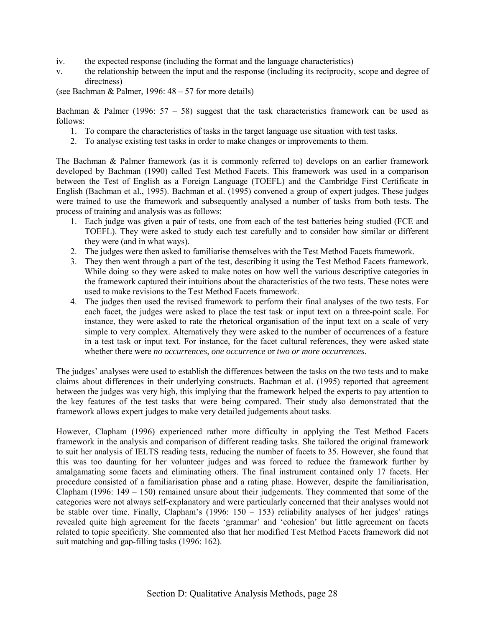- iv. the expected response (including the format and the language characteristics)
- v. the relationship between the input and the response (including its reciprocity, scope and degree of directness)

(see Bachman & Palmer, 1996:  $48 - 57$  for more details)

Bachman & Palmer (1996:  $57 - 58$ ) suggest that the task characteristics framework can be used as follows:

- 1. To compare the characteristics of tasks in the target language use situation with test tasks.
- 2. To analyse existing test tasks in order to make changes or improvements to them.

The Bachman & Palmer framework (as it is commonly referred to) develops on an earlier framework developed by Bachman (1990) called Test Method Facets. This framework was used in a comparison between the Test of English as a Foreign Language (TOEFL) and the Cambridge First Certificate in English (Bachman et al., 1995). Bachman et al. (1995) convened a group of expert judges. These judges were trained to use the framework and subsequently analysed a number of tasks from both tests. The process of training and analysis was as follows:

- 1. Each judge was given a pair of tests, one from each of the test batteries being studied (FCE and TOEFL). They were asked to study each test carefully and to consider how similar or different they were (and in what ways).
- 2. The judges were then asked to familiarise themselves with the Test Method Facets framework.
- 3. They then went through a part of the test, describing it using the Test Method Facets framework. While doing so they were asked to make notes on how well the various descriptive categories in the framework captured their intuitions about the characteristics of the two tests. These notes were used to make revisions to the Test Method Facets framework.
- 4. The judges then used the revised framework to perform their final analyses of the two tests. For each facet, the judges were asked to place the test task or input text on a three-point scale. For instance, they were asked to rate the rhetorical organisation of the input text on a scale of very simple to very complex. Alternatively they were asked to the number of occurrences of a feature in a test task or input text. For instance, for the facet cultural references, they were asked state whether there were *no occurrences*, *one occurrence* or *two or more occurrences*.

The judges' analyses were used to establish the differences between the tasks on the two tests and to make claims about differences in their underlying constructs. Bachman et al. (1995) reported that agreement between the judges was very high, this implying that the framework helped the experts to pay attention to the key features of the test tasks that were being compared. Their study also demonstrated that the framework allows expert judges to make very detailed judgements about tasks.

However, Clapham (1996) experienced rather more difficulty in applying the Test Method Facets framework in the analysis and comparison of different reading tasks. She tailored the original framework to suit her analysis of IELTS reading tests, reducing the number of facets to 35. However, she found that this was too daunting for her volunteer judges and was forced to reduce the framework further by amalgamating some facets and eliminating others. The final instrument contained only 17 facets. Her procedure consisted of a familiarisation phase and a rating phase. However, despite the familiarisation, Clapham (1996:  $149 - 150$ ) remained unsure about their judgements. They commented that some of the categories were not always self-explanatory and were particularly concerned that their analyses would not be stable over time. Finally, Clapham's (1996:  $150 - 153$ ) reliability analyses of her judges' ratings revealed quite high agreement for the facets 'grammar' and 'cohesion' but little agreement on facets related to topic specificity. She commented also that her modified Test Method Facets framework did not suit matching and gap-filling tasks (1996: 162).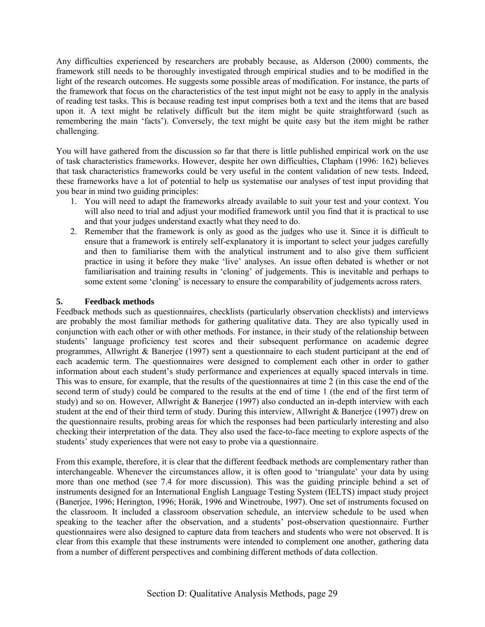Any difficulties experienced by researchers are probably because, as Alderson (2000) comments, the framework still needs to be thoroughly investigated through empirical studies and to be modified in the light of the research outcomes. He suggests some possible areas of modification. For instance, the parts of the framework that focus on the characteristics of the test input might not be easy to apply in the analysis of reading test tasks. This is because reading test input comprises both a text and the items that are based upon it. A text might be relatively difficult but the item might be quite straightforward (such as remembering the main 'facts'). Conversely, the text might be quite easy but the item might be rather challenging.

You will have gathered from the discussion so far that there is little published empirical work on the use of task characteristics frameworks. However, despite her own difficulties, Clapham (1996: 162) believes that task characteristics frameworks could be very useful in the content validation of new tests. Indeed, these frameworks have a lot of potential to help us systematise our analyses of test input providing that you bear in mind two guiding principles:

- 1. You will need to adapt the frameworks already available to suit your test and your context. You will also need to trial and adjust your modified framework until you find that it is practical to use and that your judges understand exactly what they need to do.
- 2. Remember that the framework is only as good as the judges who use it. Since it is difficult to ensure that a framework is entirely self-explanatory it is important to select your judges carefully and then to familiarise them with the analytical instrument and to also give them sufficient practice in using it before they make 'live' analyses. An issue often debated is whether or not familiarisation and training results in 'cloning' of judgements. This is inevitable and perhaps to some extent some 'cloning' is necessary to ensure the comparability of judgements across raters.

# **5. Feedback methods**

Feedback methods such as questionnaires, checklists (particularly observation checklists) and interviews are probably the most familiar methods for gathering qualitative data. They are also typically used in conjunction with each other or with other methods. For instance, in their study of the relationship between students' language proficiency test scores and their subsequent performance on academic degree programmes, Allwright & Banerjee (1997) sent a questionnaire to each student participant at the end of each academic term. The questionnaires were designed to complement each other in order to gather information about each student's study performance and experiences at equally spaced intervals in time. This was to ensure, for example, that the results of the questionnaires at time 2 (in this case the end of the second term of study) could be compared to the results at the end of time 1 (the end of the first term of study) and so on. However, Allwright & Banerjee (1997) also conducted an in-depth interview with each student at the end of their third term of study. During this interview, Allwright & Banerjee (1997) drew on the questionnaire results, probing areas for which the responses had been particularly interesting and also checking their interpretation of the data. They also used the face-to-face meeting to explore aspects of the students' study experiences that were not easy to probe via a questionnaire.

From this example, therefore, it is clear that the different feedback methods are complementary rather than interchangeable. Whenever the circumstances allow, it is often good to 'triangulate' your data by using more than one method (see 7.4 for more discussion). This was the guiding principle behind a set of instruments designed for an International English Language Testing System (IELTS) impact study project (Banerjee, 1996; Herington, 1996; Horák, 1996 and Winetroube, 1997). One set of instruments focused on the classroom. It included a classroom observation schedule, an interview schedule to be used when speaking to the teacher after the observation, and a students' post-observation questionnaire. Further questionnaires were also designed to capture data from teachers and students who were not observed. It is clear from this example that these instruments were intended to complement one another, gathering data from a number of different perspectives and combining different methods of data collection.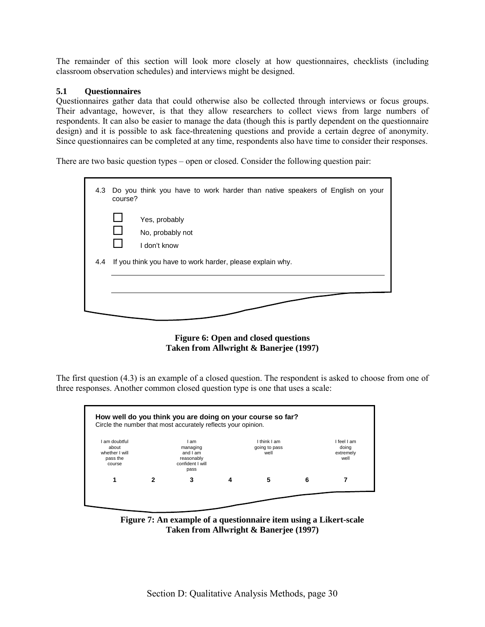The remainder of this section will look more closely at how questionnaires, checklists (including classroom observation schedules) and interviews might be designed.

# **5.1 Questionnaires**

Questionnaires gather data that could otherwise also be collected through interviews or focus groups. Their advantage, however, is that they allow researchers to collect views from large numbers of respondents. It can also be easier to manage the data (though this is partly dependent on the questionnaire design) and it is possible to ask face-threatening questions and provide a certain degree of anonymity. Since questionnaires can be completed at any time, respondents also have time to consider their responses.

There are two basic question types  $-$  open or closed. Consider the following question pair:

| 4.3 | Do you think you have to work harder than native speakers of English on your<br>course? |
|-----|-----------------------------------------------------------------------------------------|
|     | $\mathbf{L}$<br>Yes, probably<br>□<br>No, probably not<br>I don't know                  |
| 4.4 | If you think you have to work harder, please explain why.                               |
|     |                                                                                         |

**Figure 6: Open and closed questions Taken from Allwright & Banerjee (1997)** 

The first question (4.3) is an example of a closed question. The respondent is asked to choose from one of three responses. Another common closed question type is one that uses a scale:

| am doubtful<br>about<br>whether I will<br>pass the<br>course | l am<br>managing<br>and I am<br>reasonably<br>confident I will | I think I am<br>going to pass<br>well |   | I feel I am<br>doing<br>extremely<br>well |
|--------------------------------------------------------------|----------------------------------------------------------------|---------------------------------------|---|-------------------------------------------|
|                                                              | pass<br>3                                                      | 5                                     | Բ |                                           |

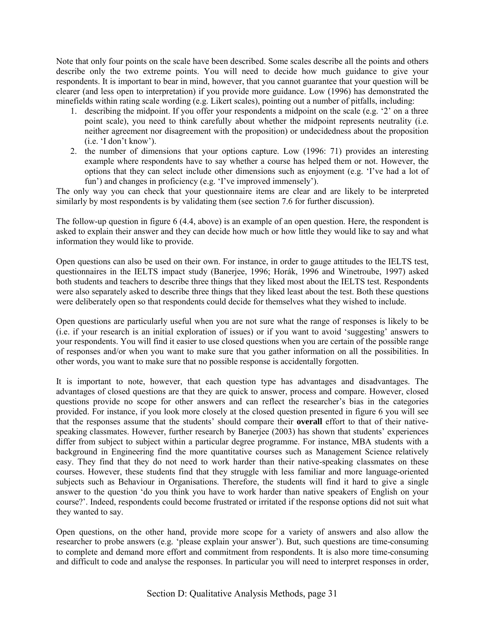Note that only four points on the scale have been described. Some scales describe all the points and others describe only the two extreme points. You will need to decide how much guidance to give your respondents. It is important to bear in mind, however, that you cannot guarantee that your question will be clearer (and less open to interpretation) if you provide more guidance. Low (1996) has demonstrated the minefields within rating scale wording (e.g. Likert scales), pointing out a number of pitfalls, including:

- 1. describing the midpoint. If you offer your respondents a midpoint on the scale (e.g.  $\degree$ 2' on a three point scale), you need to think carefully about whether the midpoint represents neutrality (i.e. neither agreement nor disagreement with the proposition) or undecidedness about the proposition  $(i.e. 'I don't know').$
- 2. the number of dimensions that your options capture. Low (1996: 71) provides an interesting example where respondents have to say whether a course has helped them or not. However, the options that they can select include other dimensions such as enjoyment (e.g. 'I've had a lot of fun') and changes in proficiency (e.g. 'I've improved immensely').

The only way you can check that your questionnaire items are clear and are likely to be interpreted similarly by most respondents is by validating them (see section 7.6 for further discussion).

The follow-up question in figure 6 (4.4, above) is an example of an open question. Here, the respondent is asked to explain their answer and they can decide how much or how little they would like to say and what information they would like to provide.

Open questions can also be used on their own. For instance, in order to gauge attitudes to the IELTS test, questionnaires in the IELTS impact study (Banerjee, 1996; Horák, 1996 and Winetroube, 1997) asked both students and teachers to describe three things that they liked most about the IELTS test. Respondents were also separately asked to describe three things that they liked least about the test. Both these questions were deliberately open so that respondents could decide for themselves what they wished to include.

Open questions are particularly useful when you are not sure what the range of responses is likely to be (i.e. if your research is an initial exploration of issues) or if you want to avoid ësuggestingí answers to your respondents. You will find it easier to use closed questions when you are certain of the possible range of responses and/or when you want to make sure that you gather information on all the possibilities. In other words, you want to make sure that no possible response is accidentally forgotten.

It is important to note, however, that each question type has advantages and disadvantages. The advantages of closed questions are that they are quick to answer, process and compare. However, closed questions provide no scope for other answers and can reflect the researcher's bias in the categories provided. For instance, if you look more closely at the closed question presented in figure 6 you will see that the responses assume that the studentsí should compare their **overall** effort to that of their nativespeaking classmates. However, further research by Banerjee (2003) has shown that students' experiences differ from subject to subject within a particular degree programme. For instance, MBA students with a background in Engineering find the more quantitative courses such as Management Science relatively easy. They find that they do not need to work harder than their native-speaking classmates on these courses. However, these students find that they struggle with less familiar and more language-oriented subjects such as Behaviour in Organisations. Therefore, the students will find it hard to give a single answer to the question 'do you think you have to work harder than native speakers of English on your course?'. Indeed, respondents could become frustrated or irritated if the response options did not suit what they wanted to say.

Open questions, on the other hand, provide more scope for a variety of answers and also allow the researcher to probe answers (e.g. 'please explain your answer'). But, such questions are time-consuming to complete and demand more effort and commitment from respondents. It is also more time-consuming and difficult to code and analyse the responses. In particular you will need to interpret responses in order,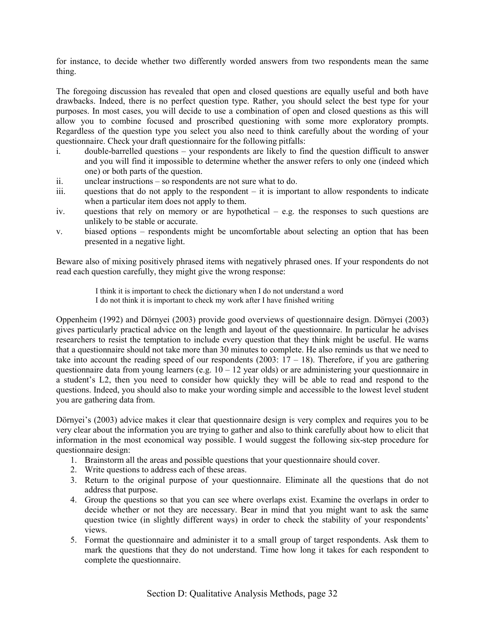for instance, to decide whether two differently worded answers from two respondents mean the same thing.

The foregoing discussion has revealed that open and closed questions are equally useful and both have drawbacks. Indeed, there is no perfect question type. Rather, you should select the best type for your purposes. In most cases, you will decide to use a combination of open and closed questions as this will allow you to combine focused and proscribed questioning with some more exploratory prompts. Regardless of the question type you select you also need to think carefully about the wording of your questionnaire. Check your draft questionnaire for the following pitfalls:

- i. double-barrelled questions your respondents are likely to find the question difficult to answer and you will find it impossible to determine whether the answer refers to only one (indeed which one) or both parts of the question.
- $ii.$  unclear instructions  $-$  so respondents are not sure what to do.
- iii. questions that do not apply to the respondent  $-$  it is important to allow respondents to indicate when a particular item does not apply to them.
- iv. questions that rely on memory or are hypothetical  $-$  e.g. the responses to such questions are unlikely to be stable or accurate.
- v. biased options respondents might be uncomfortable about selecting an option that has been presented in a negative light.

Beware also of mixing positively phrased items with negatively phrased ones. If your respondents do not read each question carefully, they might give the wrong response:

> I think it is important to check the dictionary when I do not understand a word I do not think it is important to check my work after I have finished writing

Oppenheim (1992) and Dörnyei (2003) provide good overviews of questionnaire design. Dörnyei (2003) gives particularly practical advice on the length and layout of the questionnaire. In particular he advises researchers to resist the temptation to include every question that they think might be useful. He warns that a questionnaire should not take more than 30 minutes to complete. He also reminds us that we need to take into account the reading speed of our respondents (2003:  $17 - 18$ ). Therefore, if you are gathering questionnaire data from young learners (e.g.  $10 - 12$  year olds) or are administering your questionnaire in a studentís L2, then you need to consider how quickly they will be able to read and respond to the questions. Indeed, you should also to make your wording simple and accessible to the lowest level student you are gathering data from.

Dörnyei's (2003) advice makes it clear that questionnaire design is very complex and requires you to be very clear about the information you are trying to gather and also to think carefully about how to elicit that information in the most economical way possible. I would suggest the following six-step procedure for questionnaire design:

- 1. Brainstorm all the areas and possible questions that your questionnaire should cover.
- 2. Write questions to address each of these areas.
- 3. Return to the original purpose of your questionnaire. Eliminate all the questions that do not address that purpose.
- 4. Group the questions so that you can see where overlaps exist. Examine the overlaps in order to decide whether or not they are necessary. Bear in mind that you might want to ask the same question twice (in slightly different ways) in order to check the stability of your respondents' views.
- 5. Format the questionnaire and administer it to a small group of target respondents. Ask them to mark the questions that they do not understand. Time how long it takes for each respondent to complete the questionnaire.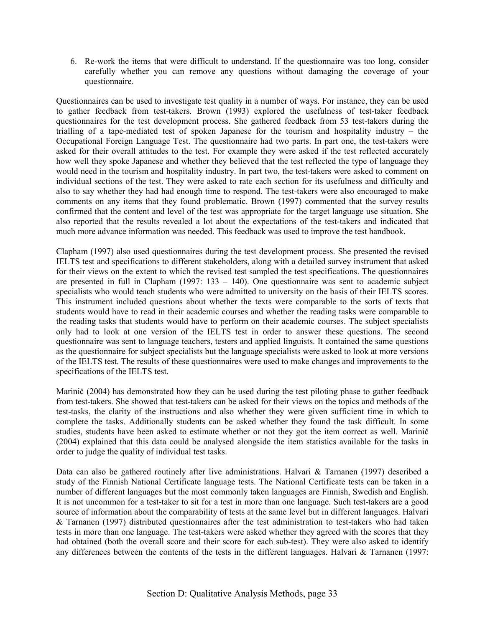6. Re-work the items that were difficult to understand. If the questionnaire was too long, consider carefully whether you can remove any questions without damaging the coverage of your questionnaire.

Questionnaires can be used to investigate test quality in a number of ways. For instance, they can be used to gather feedback from test-takers. Brown (1993) explored the usefulness of test-taker feedback questionnaires for the test development process. She gathered feedback from 53 test-takers during the trialling of a tape-mediated test of spoken Japanese for the tourism and hospitality industry  $-$  the Occupational Foreign Language Test. The questionnaire had two parts. In part one, the test-takers were asked for their overall attitudes to the test. For example they were asked if the test reflected accurately how well they spoke Japanese and whether they believed that the test reflected the type of language they would need in the tourism and hospitality industry. In part two, the test-takers were asked to comment on individual sections of the test. They were asked to rate each section for its usefulness and difficulty and also to say whether they had had enough time to respond. The test-takers were also encouraged to make comments on any items that they found problematic. Brown (1997) commented that the survey results confirmed that the content and level of the test was appropriate for the target language use situation. She also reported that the results revealed a lot about the expectations of the test-takers and indicated that much more advance information was needed. This feedback was used to improve the test handbook.

Clapham (1997) also used questionnaires during the test development process. She presented the revised IELTS test and specifications to different stakeholders, along with a detailed survey instrument that asked for their views on the extent to which the revised test sampled the test specifications. The questionnaires are presented in full in Clapham (1997:  $133 - 140$ ). One questionnaire was sent to academic subject specialists who would teach students who were admitted to university on the basis of their IELTS scores. This instrument included questions about whether the texts were comparable to the sorts of texts that students would have to read in their academic courses and whether the reading tasks were comparable to the reading tasks that students would have to perform on their academic courses. The subject specialists only had to look at one version of the IELTS test in order to answer these questions. The second questionnaire was sent to language teachers, testers and applied linguists. It contained the same questions as the questionnaire for subject specialists but the language specialists were asked to look at more versions of the IELTS test. The results of these questionnaires were used to make changes and improvements to the specifications of the IELTS test.

Marinič (2004) has demonstrated how they can be used during the test piloting phase to gather feedback from test-takers. She showed that test-takers can be asked for their views on the topics and methods of the test-tasks, the clarity of the instructions and also whether they were given sufficient time in which to complete the tasks. Additionally students can be asked whether they found the task difficult. In some studies, students have been asked to estimate whether or not they got the item correct as well. Marinič (2004) explained that this data could be analysed alongside the item statistics available for the tasks in order to judge the quality of individual test tasks.

Data can also be gathered routinely after live administrations. Halvari & Tarnanen (1997) described a study of the Finnish National Certificate language tests. The National Certificate tests can be taken in a number of different languages but the most commonly taken languages are Finnish, Swedish and English. It is not uncommon for a test-taker to sit for a test in more than one language. Such test-takers are a good source of information about the comparability of tests at the same level but in different languages. Halvari & Tarnanen (1997) distributed questionnaires after the test administration to test-takers who had taken tests in more than one language. The test-takers were asked whether they agreed with the scores that they had obtained (both the overall score and their score for each sub-test). They were also asked to identify any differences between the contents of the tests in the different languages. Halvari  $\&$  Tarnanen (1997: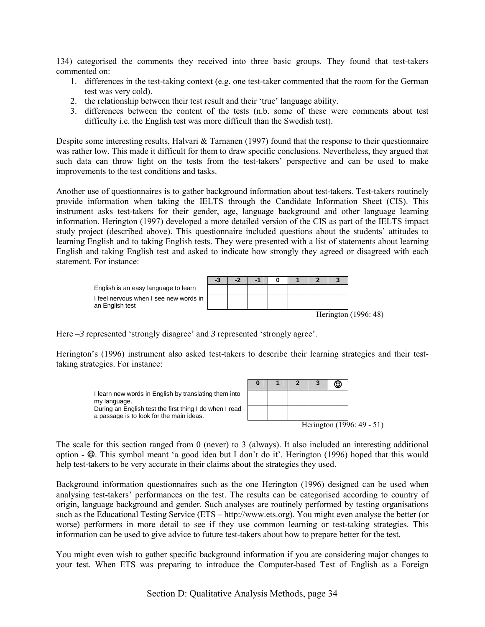134) categorised the comments they received into three basic groups. They found that test-takers commented on:

- 1. differences in the test-taking context (e.g. one test-taker commented that the room for the German test was very cold).
- 2. the relationship between their test result and their 'true' language ability.
- 3. differences between the content of the tests (n.b. some of these were comments about test difficulty i.e. the English test was more difficult than the Swedish test).

Despite some interesting results, Halvari  $\&$  Tarnanen (1997) found that the response to their questionnaire was rather low. This made it difficult for them to draw specific conclusions. Nevertheless, they argued that such data can throw light on the tests from the test-takers' perspective and can be used to make improvements to the test conditions and tasks.

Another use of questionnaires is to gather background information about test-takers. Test-takers routinely provide information when taking the IELTS through the Candidate Information Sheet (CIS). This instrument asks test-takers for their gender, age, language background and other language learning information. Herington (1997) developed a more detailed version of the CIS as part of the IELTS impact study project (described above). This questionnaire included questions about the students' attitudes to learning English and to taking English tests. They were presented with a list of statements about learning English and taking English test and asked to indicate how strongly they agreed or disagreed with each statement. For instance:



Here  $-3$  represented 'strongly disagree' and 3 represented 'strongly agree'.

help test-takers to be very accurate in their claims about the strategies they used.

Herington's (1996) instrument also asked test-takers to describe their learning strategies and their testtaking strategies. For instance:



The scale for this section ranged from 0 (never) to 3 (always). It also included an interesting additional option -  $\odot$ . This symbol meant 'a good idea but I don't do it'. Herington (1996) hoped that this would

Background information questionnaires such as the one Herington (1996) designed can be used when analysing test-takers' performances on the test. The results can be categorised according to country of origin, language background and gender. Such analyses are routinely performed by testing organisations such as the Educational Testing Service (ETS – http://www.ets.org). You might even analyse the better (or worse) performers in more detail to see if they use common learning or test-taking strategies. This information can be used to give advice to future test-takers about how to prepare better for the test.

You might even wish to gather specific background information if you are considering major changes to your test. When ETS was preparing to introduce the Computer-based Test of English as a Foreign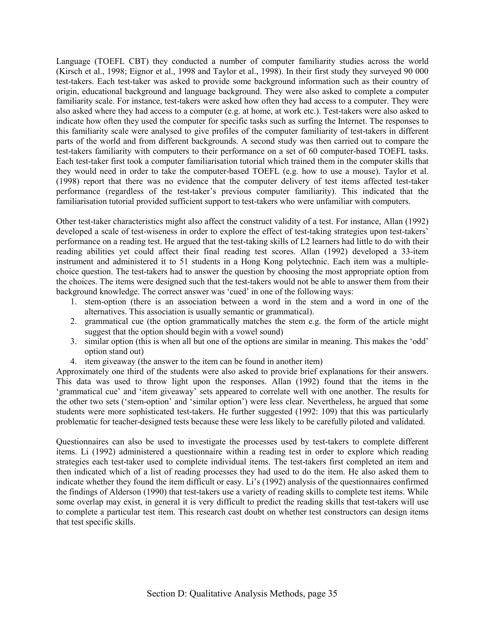Language (TOEFL CBT) they conducted a number of computer familiarity studies across the world (Kirsch et al., 1998; Eignor et al., 1998 and Taylor et al., 1998). In their first study they surveyed 90 000 test-takers. Each test-taker was asked to provide some background information such as their country of origin, educational background and language background. They were also asked to complete a computer familiarity scale. For instance, test-takers were asked how often they had access to a computer. They were also asked where they had access to a computer (e.g. at home, at work etc.). Test-takers were also asked to indicate how often they used the computer for specific tasks such as surfing the Internet. The responses to this familiarity scale were analysed to give profiles of the computer familiarity of test-takers in different parts of the world and from different backgrounds. A second study was then carried out to compare the test-takers familiarity with computers to their performance on a set of 60 computer-based TOEFL tasks. Each test-taker first took a computer familiarisation tutorial which trained them in the computer skills that they would need in order to take the computer-based TOEFL (e.g. how to use a mouse). Taylor et al. (1998) report that there was no evidence that the computer delivery of test items affected test-taker performance (regardless of the test-taker's previous computer familiarity). This indicated that the familiarisation tutorial provided sufficient support to test-takers who were unfamiliar with computers.

Other test-taker characteristics might also affect the construct validity of a test. For instance, Allan (1992) developed a scale of test-wiseness in order to explore the effect of test-taking strategies upon test-takers' performance on a reading test. He argued that the test-taking skills of L2 learners had little to do with their reading abilities yet could affect their final reading test scores. Allan (1992) developed a 33-item instrument and administered it to 51 students in a Hong Kong polytechnic. Each item was a multiplechoice question. The test-takers had to answer the question by choosing the most appropriate option from the choices. The items were designed such that the test-takers would not be able to answer them from their background knowledge. The correct answer was 'cued' in one of the following ways:

- 1. stem-option (there is an association between a word in the stem and a word in one of the alternatives. This association is usually semantic or grammatical).
- 2. grammatical cue (the option grammatically matches the stem e.g. the form of the article might suggest that the option should begin with a vowel sound)
- 3. similar option (this is when all but one of the options are similar in meaning. This makes the 'odd' option stand out)
- 4. item giveaway (the answer to the item can be found in another item)

Approximately one third of the students were also asked to provide brief explanations for their answers. This data was used to throw light upon the responses. Allan (1992) found that the items in the 'grammatical cue' and 'item giveaway' sets appeared to correlate well with one another. The results for the other two sets ('stem-option' and 'similar option') were less clear. Nevertheless, he argued that some students were more sophisticated test-takers. He further suggested (1992: 109) that this was particularly problematic for teacher-designed tests because these were less likely to be carefully piloted and validated.

Questionnaires can also be used to investigate the processes used by test-takers to complete different items. Li (1992) administered a questionnaire within a reading test in order to explore which reading strategies each test-taker used to complete individual items. The test-takers first completed an item and then indicated which of a list of reading processes they had used to do the item. He also asked them to indicate whether they found the item difficult or easy. Li's (1992) analysis of the questionnaires confirmed the findings of Alderson (1990) that test-takers use a variety of reading skills to complete test items. While some overlap may exist, in general it is very difficult to predict the reading skills that test-takers will use to complete a particular test item. This research cast doubt on whether test constructors can design items that test specific skills.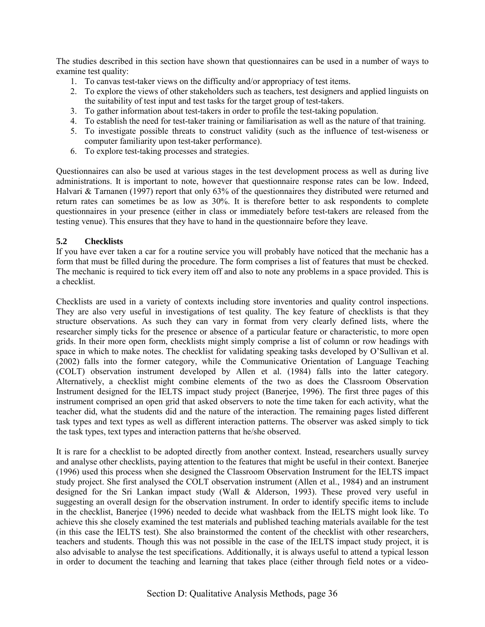The studies described in this section have shown that questionnaires can be used in a number of ways to examine test quality:

- 1. To canvas test-taker views on the difficulty and/or appropriacy of test items.
- 2. To explore the views of other stakeholders such as teachers, test designers and applied linguists on the suitability of test input and test tasks for the target group of test-takers.
- 3. To gather information about test-takers in order to profile the test-taking population.
- 4. To establish the need for test-taker training or familiarisation as well as the nature of that training.
- 5. To investigate possible threats to construct validity (such as the influence of test-wiseness or computer familiarity upon test-taker performance).
- 6. To explore test-taking processes and strategies.

Questionnaires can also be used at various stages in the test development process as well as during live administrations. It is important to note, however that questionnaire response rates can be low. Indeed, Halvari & Tarnanen (1997) report that only 63% of the questionnaires they distributed were returned and return rates can sometimes be as low as 30%. It is therefore better to ask respondents to complete questionnaires in your presence (either in class or immediately before test-takers are released from the testing venue). This ensures that they have to hand in the questionnaire before they leave.

# **5.2 Checklists**

If you have ever taken a car for a routine service you will probably have noticed that the mechanic has a form that must be filled during the procedure. The form comprises a list of features that must be checked. The mechanic is required to tick every item off and also to note any problems in a space provided. This is a checklist.

Checklists are used in a variety of contexts including store inventories and quality control inspections. They are also very useful in investigations of test quality. The key feature of checklists is that they structure observations. As such they can vary in format from very clearly defined lists, where the researcher simply ticks for the presence or absence of a particular feature or characteristic, to more open grids. In their more open form, checklists might simply comprise a list of column or row headings with space in which to make notes. The checklist for validating speaking tasks developed by O'Sullivan et al. (2002) falls into the former category, while the Communicative Orientation of Language Teaching (COLT) observation instrument developed by Allen et al. (1984) falls into the latter category. Alternatively, a checklist might combine elements of the two as does the Classroom Observation Instrument designed for the IELTS impact study project (Banerjee, 1996). The first three pages of this instrument comprised an open grid that asked observers to note the time taken for each activity, what the teacher did, what the students did and the nature of the interaction. The remaining pages listed different task types and text types as well as different interaction patterns. The observer was asked simply to tick the task types, text types and interaction patterns that he/she observed.

It is rare for a checklist to be adopted directly from another context. Instead, researchers usually survey and analyse other checklists, paying attention to the features that might be useful in their context. Banerjee (1996) used this process when she designed the Classroom Observation Instrument for the IELTS impact study project. She first analysed the COLT observation instrument (Allen et al., 1984) and an instrument designed for the Sri Lankan impact study (Wall & Alderson, 1993). These proved very useful in suggesting an overall design for the observation instrument. In order to identify specific items to include in the checklist, Banerjee (1996) needed to decide what washback from the IELTS might look like. To achieve this she closely examined the test materials and published teaching materials available for the test (in this case the IELTS test). She also brainstormed the content of the checklist with other researchers, teachers and students. Though this was not possible in the case of the IELTS impact study project, it is also advisable to analyse the test specifications. Additionally, it is always useful to attend a typical lesson in order to document the teaching and learning that takes place (either through field notes or a video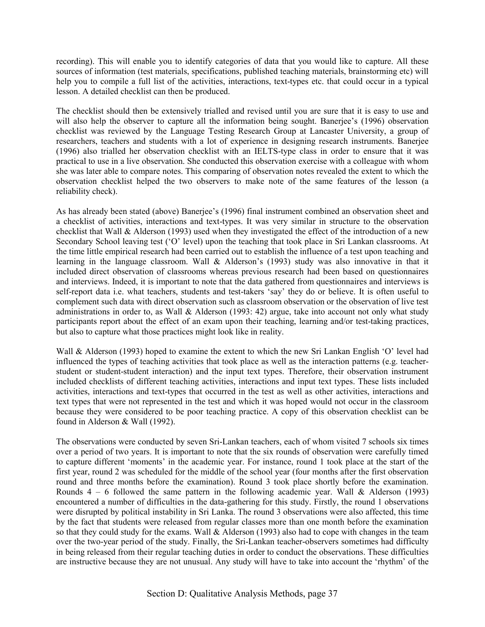recording). This will enable you to identify categories of data that you would like to capture. All these sources of information (test materials, specifications, published teaching materials, brainstorming etc) will help you to compile a full list of the activities, interactions, text-types etc. that could occur in a typical lesson. A detailed checklist can then be produced.

The checklist should then be extensively trialled and revised until you are sure that it is easy to use and will also help the observer to capture all the information being sought. Banerjee's (1996) observation checklist was reviewed by the Language Testing Research Group at Lancaster University, a group of researchers, teachers and students with a lot of experience in designing research instruments. Banerjee (1996) also trialled her observation checklist with an IELTS-type class in order to ensure that it was practical to use in a live observation. She conducted this observation exercise with a colleague with whom she was later able to compare notes. This comparing of observation notes revealed the extent to which the observation checklist helped the two observers to make note of the same features of the lesson (a reliability check).

As has already been stated (above) Banerjee's (1996) final instrument combined an observation sheet and a checklist of activities, interactions and text-types. It was very similar in structure to the observation checklist that Wall & Alderson (1993) used when they investigated the effect of the introduction of a new Secondary School leaving test ('O' level) upon the teaching that took place in Sri Lankan classrooms. At the time little empirical research had been carried out to establish the influence of a test upon teaching and learning in the language classroom. Wall  $&$  Alderson's (1993) study was also innovative in that it included direct observation of classrooms whereas previous research had been based on questionnaires and interviews. Indeed, it is important to note that the data gathered from questionnaires and interviews is self-report data i.e. what teachers, students and test-takers 'say' they do or believe. It is often useful to complement such data with direct observation such as classroom observation or the observation of live test administrations in order to, as Wall & Alderson (1993: 42) argue, take into account not only what study participants report about the effect of an exam upon their teaching, learning and/or test-taking practices, but also to capture what those practices might look like in reality.

Wall & Alderson (1993) hoped to examine the extent to which the new Sri Lankan English 'O' level had influenced the types of teaching activities that took place as well as the interaction patterns (e.g. teacherstudent or student-student interaction) and the input text types. Therefore, their observation instrument included checklists of different teaching activities, interactions and input text types. These lists included activities, interactions and text-types that occurred in the test as well as other activities, interactions and text types that were not represented in the test and which it was hoped would not occur in the classroom because they were considered to be poor teaching practice. A copy of this observation checklist can be found in Alderson & Wall (1992).

The observations were conducted by seven Sri-Lankan teachers, each of whom visited 7 schools six times over a period of two years. It is important to note that the six rounds of observation were carefully timed to capture different 'moments' in the academic year. For instance, round 1 took place at the start of the first year, round 2 was scheduled for the middle of the school year (four months after the first observation round and three months before the examination). Round 3 took place shortly before the examination. Rounds  $4 - 6$  followed the same pattern in the following academic year. Wall & Alderson (1993) encountered a number of difficulties in the data-gathering for this study. Firstly, the round 1 observations were disrupted by political instability in Sri Lanka. The round 3 observations were also affected, this time by the fact that students were released from regular classes more than one month before the examination so that they could study for the exams. Wall  $\&$  Alderson (1993) also had to cope with changes in the team over the two-year period of the study. Finally, the Sri-Lankan teacher-observers sometimes had difficulty in being released from their regular teaching duties in order to conduct the observations. These difficulties are instructive because they are not unusual. Any study will have to take into account the 'rhythm' of the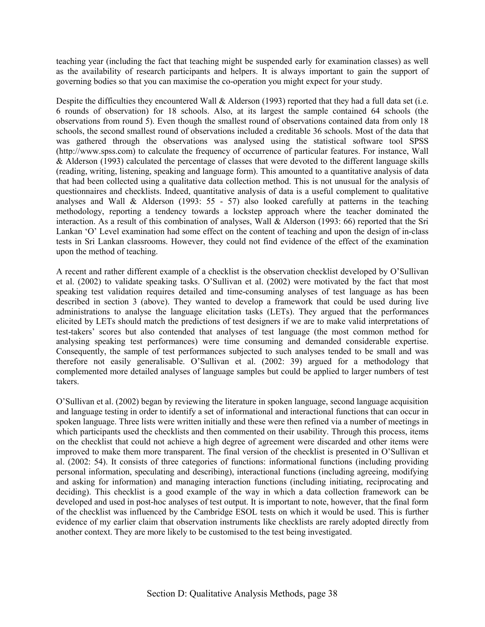teaching year (including the fact that teaching might be suspended early for examination classes) as well as the availability of research participants and helpers. It is always important to gain the support of governing bodies so that you can maximise the co-operation you might expect for your study.

Despite the difficulties they encountered Wall & Alderson (1993) reported that they had a full data set (i.e. 6 rounds of observation) for 18 schools. Also, at its largest the sample contained 64 schools (the observations from round 5). Even though the smallest round of observations contained data from only 18 schools, the second smallest round of observations included a creditable 36 schools. Most of the data that was gathered through the observations was analysed using the statistical software tool SPSS (http://www.spss.com) to calculate the frequency of occurrence of particular features. For instance, Wall  $\&$  Alderson (1993) calculated the percentage of classes that were devoted to the different language skills (reading, writing, listening, speaking and language form). This amounted to a quantitative analysis of data that had been collected using a qualitative data collection method. This is not unusual for the analysis of questionnaires and checklists. Indeed, quantitative analysis of data is a useful complement to qualitative analyses and Wall & Alderson (1993: 55 - 57) also looked carefully at patterns in the teaching methodology, reporting a tendency towards a lockstep approach where the teacher dominated the interaction. As a result of this combination of analyses, Wall & Alderson (1993: 66) reported that the Sri Lankan 'O' Level examination had some effect on the content of teaching and upon the design of in-class tests in Sri Lankan classrooms. However, they could not find evidence of the effect of the examination upon the method of teaching.

A recent and rather different example of a checklist is the observation checklist developed by O'Sullivan et al. (2002) to validate speaking tasks. O'Sullivan et al. (2002) were motivated by the fact that most speaking test validation requires detailed and time-consuming analyses of test language as has been described in section 3 (above). They wanted to develop a framework that could be used during live administrations to analyse the language elicitation tasks (LETs). They argued that the performances elicited by LETs should match the predictions of test designers if we are to make valid interpretations of test-takersí scores but also contended that analyses of test language (the most common method for analysing speaking test performances) were time consuming and demanded considerable expertise. Consequently, the sample of test performances subjected to such analyses tended to be small and was therefore not easily generalisable. O'Sullivan et al.  $(2002: 39)$  argued for a methodology that complemented more detailed analyses of language samples but could be applied to larger numbers of test takers.

OíSullivan et al. (2002) began by reviewing the literature in spoken language, second language acquisition and language testing in order to identify a set of informational and interactional functions that can occur in spoken language. Three lists were written initially and these were then refined via a number of meetings in which participants used the checklists and then commented on their usability. Through this process, items on the checklist that could not achieve a high degree of agreement were discarded and other items were improved to make them more transparent. The final version of the checklist is presented in O'Sullivan et al. (2002: 54). It consists of three categories of functions: informational functions (including providing personal information, speculating and describing), interactional functions (including agreeing, modifying and asking for information) and managing interaction functions (including initiating, reciprocating and deciding). This checklist is a good example of the way in which a data collection framework can be developed and used in post-hoc analyses of test output. It is important to note, however, that the final form of the checklist was influenced by the Cambridge ESOL tests on which it would be used. This is further evidence of my earlier claim that observation instruments like checklists are rarely adopted directly from another context. They are more likely to be customised to the test being investigated.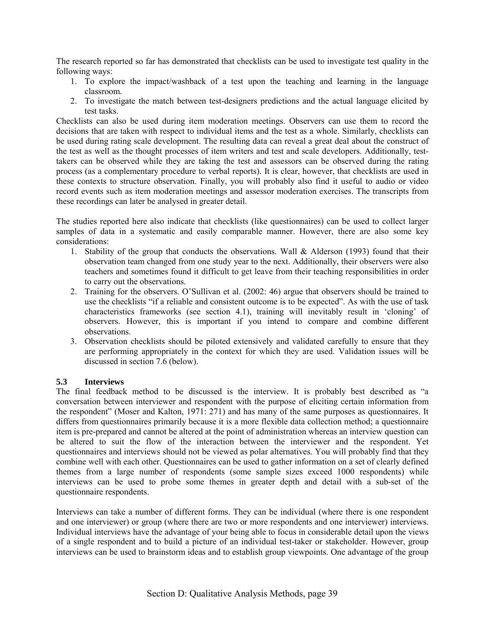The research reported so far has demonstrated that checklists can be used to investigate test quality in the following ways:

- 1. To explore the impact/washback of a test upon the teaching and learning in the language classroom.
- 2. To investigate the match between test-designers predictions and the actual language elicited by test tasks.

Checklists can also be used during item moderation meetings. Observers can use them to record the decisions that are taken with respect to individual items and the test as a whole. Similarly, checklists can be used during rating scale development. The resulting data can reveal a great deal about the construct of the test as well as the thought processes of item writers and test and scale developers. Additionally, testtakers can be observed while they are taking the test and assessors can be observed during the rating process (as a complementary procedure to verbal reports). It is clear, however, that checklists are used in these contexts to structure observation. Finally, you will probably also find it useful to audio or video record events such as item moderation meetings and assessor moderation exercises. The transcripts from these recordings can later be analysed in greater detail.

The studies reported here also indicate that checklists (like questionnaires) can be used to collect larger samples of data in a systematic and easily comparable manner. However, there are also some key considerations:

- 1. Stability of the group that conducts the observations. Wall & Alderson (1993) found that their observation team changed from one study year to the next. Additionally, their observers were also teachers and sometimes found it difficult to get leave from their teaching responsibilities in order to carry out the observations.
- 2. Training for the observers. O'Sullivan et al. (2002: 46) argue that observers should be trained to use the checklists "if a reliable and consistent outcome is to be expected". As with the use of task characteristics frameworks (see section 4.1), training will inevitably result in 'cloning' of observers. However, this is important if you intend to compare and combine different observations.
- 3. Observation checklists should be piloted extensively and validated carefully to ensure that they are performing appropriately in the context for which they are used. Validation issues will be discussed in section 7.6 (below).

#### **5.3 Interviews**

The final feedback method to be discussed is the interview. It is probably best described as "a conversation between interviewer and respondent with the purpose of eliciting certain information from the respondent" (Moser and Kalton, 1971: 271) and has many of the same purposes as questionnaires. It differs from questionnaires primarily because it is a more flexible data collection method; a questionnaire item is pre-prepared and cannot be altered at the point of administration whereas an interview question can be altered to suit the flow of the interaction between the interviewer and the respondent. Yet questionnaires and interviews should not be viewed as polar alternatives. You will probably find that they combine well with each other. Questionnaires can be used to gather information on a set of clearly defined themes from a large number of respondents (some sample sizes exceed 1000 respondents) while interviews can be used to probe some themes in greater depth and detail with a sub-set of the questionnaire respondents.

Interviews can take a number of different forms. They can be individual (where there is one respondent and one interviewer) or group (where there are two or more respondents and one interviewer) interviews. Individual interviews have the advantage of your being able to focus in considerable detail upon the views of a single respondent and to build a picture of an individual test-taker or stakeholder. However, group interviews can be used to brainstorm ideas and to establish group viewpoints. One advantage of the group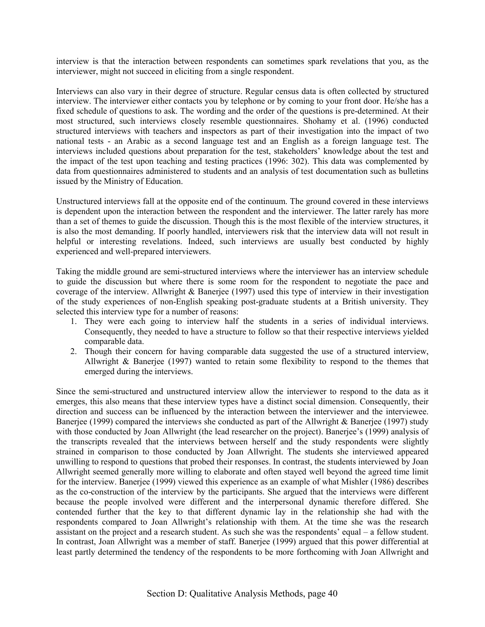interview is that the interaction between respondents can sometimes spark revelations that you, as the interviewer, might not succeed in eliciting from a single respondent.

Interviews can also vary in their degree of structure. Regular census data is often collected by structured interview. The interviewer either contacts you by telephone or by coming to your front door. He/she has a fixed schedule of questions to ask. The wording and the order of the questions is pre-determined. At their most structured, such interviews closely resemble questionnaires. Shohamy et al. (1996) conducted structured interviews with teachers and inspectors as part of their investigation into the impact of two national tests - an Arabic as a second language test and an English as a foreign language test. The interviews included questions about preparation for the test, stakeholders' knowledge about the test and the impact of the test upon teaching and testing practices (1996: 302). This data was complemented by data from questionnaires administered to students and an analysis of test documentation such as bulletins issued by the Ministry of Education.

Unstructured interviews fall at the opposite end of the continuum. The ground covered in these interviews is dependent upon the interaction between the respondent and the interviewer. The latter rarely has more than a set of themes to guide the discussion. Though this is the most flexible of the interview structures, it is also the most demanding. If poorly handled, interviewers risk that the interview data will not result in helpful or interesting revelations. Indeed, such interviews are usually best conducted by highly experienced and well-prepared interviewers.

Taking the middle ground are semi-structured interviews where the interviewer has an interview schedule to guide the discussion but where there is some room for the respondent to negotiate the pace and coverage of the interview. Allwright & Banerjee (1997) used this type of interview in their investigation of the study experiences of non-English speaking post-graduate students at a British university. They selected this interview type for a number of reasons:

- 1. They were each going to interview half the students in a series of individual interviews. Consequently, they needed to have a structure to follow so that their respective interviews yielded comparable data.
- 2. Though their concern for having comparable data suggested the use of a structured interview, Allwright & Banerjee (1997) wanted to retain some flexibility to respond to the themes that emerged during the interviews.

Since the semi-structured and unstructured interview allow the interviewer to respond to the data as it emerges, this also means that these interview types have a distinct social dimension. Consequently, their direction and success can be influenced by the interaction between the interviewer and the interviewee. Banerjee (1999) compared the interviews she conducted as part of the Allwright & Banerjee (1997) study with those conducted by Joan Allwright (the lead researcher on the project). Banerjee's (1999) analysis of the transcripts revealed that the interviews between herself and the study respondents were slightly strained in comparison to those conducted by Joan Allwright. The students she interviewed appeared unwilling to respond to questions that probed their responses. In contrast, the students interviewed by Joan Allwright seemed generally more willing to elaborate and often stayed well beyond the agreed time limit for the interview. Banerjee (1999) viewed this experience as an example of what Mishler (1986) describes as the co-construction of the interview by the participants. She argued that the interviews were different because the people involved were different and the interpersonal dynamic therefore differed. She contended further that the key to that different dynamic lay in the relationship she had with the respondents compared to Joan Allwright's relationship with them. At the time she was the research assistant on the project and a research student. As such she was the respondents' equal  $-$  a fellow student. In contrast, Joan Allwright was a member of staff. Banerjee (1999) argued that this power differential at least partly determined the tendency of the respondents to be more forthcoming with Joan Allwright and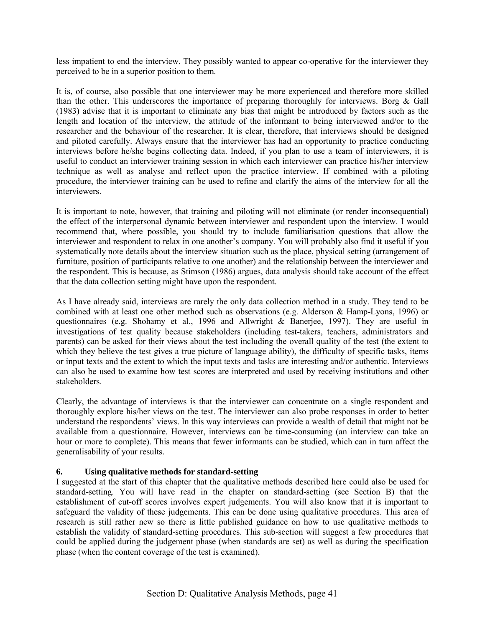less impatient to end the interview. They possibly wanted to appear co-operative for the interviewer they perceived to be in a superior position to them.

It is, of course, also possible that one interviewer may be more experienced and therefore more skilled than the other. This underscores the importance of preparing thoroughly for interviews. Borg & Gall (1983) advise that it is important to eliminate any bias that might be introduced by factors such as the length and location of the interview, the attitude of the informant to being interviewed and/or to the researcher and the behaviour of the researcher. It is clear, therefore, that interviews should be designed and piloted carefully. Always ensure that the interviewer has had an opportunity to practice conducting interviews before he/she begins collecting data. Indeed, if you plan to use a team of interviewers, it is useful to conduct an interviewer training session in which each interviewer can practice his/her interview technique as well as analyse and reflect upon the practice interview. If combined with a piloting procedure, the interviewer training can be used to refine and clarify the aims of the interview for all the interviewers.

It is important to note, however, that training and piloting will not eliminate (or render inconsequential) the effect of the interpersonal dynamic between interviewer and respondent upon the interview. I would recommend that, where possible, you should try to include familiarisation questions that allow the interviewer and respondent to relax in one another's company. You will probably also find it useful if you systematically note details about the interview situation such as the place, physical setting (arrangement of furniture, position of participants relative to one another) and the relationship between the interviewer and the respondent. This is because, as Stimson (1986) argues, data analysis should take account of the effect that the data collection setting might have upon the respondent.

As I have already said, interviews are rarely the only data collection method in a study. They tend to be combined with at least one other method such as observations (e.g. Alderson & Hamp-Lyons, 1996) or questionnaires (e.g. Shohamy et al., 1996 and Allwright & Banerjee, 1997). They are useful in investigations of test quality because stakeholders (including test-takers, teachers, administrators and parents) can be asked for their views about the test including the overall quality of the test (the extent to which they believe the test gives a true picture of language ability), the difficulty of specific tasks, items or input texts and the extent to which the input texts and tasks are interesting and/or authentic. Interviews can also be used to examine how test scores are interpreted and used by receiving institutions and other stakeholders.

Clearly, the advantage of interviews is that the interviewer can concentrate on a single respondent and thoroughly explore his/her views on the test. The interviewer can also probe responses in order to better understand the respondents' views. In this way interviews can provide a wealth of detail that might not be available from a questionnaire. However, interviews can be time-consuming (an interview can take an hour or more to complete). This means that fewer informants can be studied, which can in turn affect the generalisability of your results.

#### **6. Using qualitative methods for standard-setting**

I suggested at the start of this chapter that the qualitative methods described here could also be used for standard-setting. You will have read in the chapter on standard-setting (see Section B) that the establishment of cut-off scores involves expert judgements. You will also know that it is important to safeguard the validity of these judgements. This can be done using qualitative procedures. This area of research is still rather new so there is little published guidance on how to use qualitative methods to establish the validity of standard-setting procedures. This sub-section will suggest a few procedures that could be applied during the judgement phase (when standards are set) as well as during the specification phase (when the content coverage of the test is examined).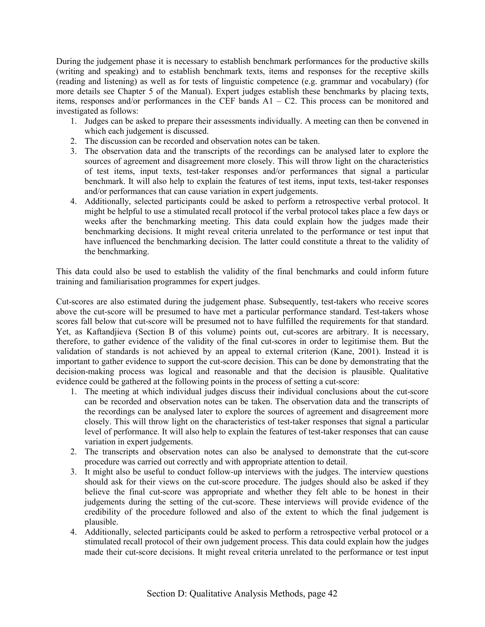During the judgement phase it is necessary to establish benchmark performances for the productive skills (writing and speaking) and to establish benchmark texts, items and responses for the receptive skills (reading and listening) as well as for tests of linguistic competence (e.g. grammar and vocabulary) (for more details see Chapter 5 of the Manual). Expert judges establish these benchmarks by placing texts, items, responses and/or performances in the CEF bands  $A1 - C2$ . This process can be monitored and investigated as follows:

- 1. Judges can be asked to prepare their assessments individually. A meeting can then be convened in which each judgement is discussed.
- 2. The discussion can be recorded and observation notes can be taken.
- 3. The observation data and the transcripts of the recordings can be analysed later to explore the sources of agreement and disagreement more closely. This will throw light on the characteristics of test items, input texts, test-taker responses and/or performances that signal a particular benchmark. It will also help to explain the features of test items, input texts, test-taker responses and/or performances that can cause variation in expert judgements.
- 4. Additionally, selected participants could be asked to perform a retrospective verbal protocol. It might be helpful to use a stimulated recall protocol if the verbal protocol takes place a few days or weeks after the benchmarking meeting. This data could explain how the judges made their benchmarking decisions. It might reveal criteria unrelated to the performance or test input that have influenced the benchmarking decision. The latter could constitute a threat to the validity of the benchmarking.

This data could also be used to establish the validity of the final benchmarks and could inform future training and familiarisation programmes for expert judges.

Cut-scores are also estimated during the judgement phase. Subsequently, test-takers who receive scores above the cut-score will be presumed to have met a particular performance standard. Test-takers whose scores fall below that cut-score will be presumed not to have fulfilled the requirements for that standard. Yet, as Kaftandjieva (Section B of this volume) points out, cut-scores are arbitrary. It is necessary, therefore, to gather evidence of the validity of the final cut-scores in order to legitimise them. But the validation of standards is not achieved by an appeal to external criterion (Kane, 2001). Instead it is important to gather evidence to support the cut-score decision. This can be done by demonstrating that the decision-making process was logical and reasonable and that the decision is plausible. Qualitative evidence could be gathered at the following points in the process of setting a cut-score:

- 1. The meeting at which individual judges discuss their individual conclusions about the cut-score can be recorded and observation notes can be taken. The observation data and the transcripts of the recordings can be analysed later to explore the sources of agreement and disagreement more closely. This will throw light on the characteristics of test-taker responses that signal a particular level of performance. It will also help to explain the features of test-taker responses that can cause variation in expert judgements.
- 2. The transcripts and observation notes can also be analysed to demonstrate that the cut-score procedure was carried out correctly and with appropriate attention to detail.
- 3. It might also be useful to conduct follow-up interviews with the judges. The interview questions should ask for their views on the cut-score procedure. The judges should also be asked if they believe the final cut-score was appropriate and whether they felt able to be honest in their judgements during the setting of the cut-score. These interviews will provide evidence of the credibility of the procedure followed and also of the extent to which the final judgement is plausible.
- 4. Additionally, selected participants could be asked to perform a retrospective verbal protocol or a stimulated recall protocol of their own judgement process. This data could explain how the judges made their cut-score decisions. It might reveal criteria unrelated to the performance or test input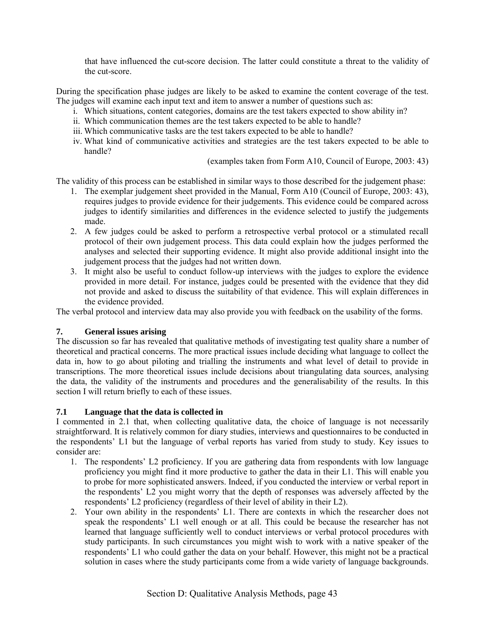that have influenced the cut-score decision. The latter could constitute a threat to the validity of the cut-score.

During the specification phase judges are likely to be asked to examine the content coverage of the test. The judges will examine each input text and item to answer a number of questions such as:

- i. Which situations, content categories, domains are the test takers expected to show ability in?
- ii. Which communication themes are the test takers expected to be able to handle?
- iii. Which communicative tasks are the test takers expected to be able to handle?
- iv. What kind of communicative activities and strategies are the test takers expected to be able to handle?

(examples taken from Form A10, Council of Europe, 2003: 43)

The validity of this process can be established in similar ways to those described for the judgement phase:

- 1. The exemplar judgement sheet provided in the Manual, Form A10 (Council of Europe, 2003: 43), requires judges to provide evidence for their judgements. This evidence could be compared across judges to identify similarities and differences in the evidence selected to justify the judgements made.
- 2. A few judges could be asked to perform a retrospective verbal protocol or a stimulated recall protocol of their own judgement process. This data could explain how the judges performed the analyses and selected their supporting evidence. It might also provide additional insight into the judgement process that the judges had not written down.
- 3. It might also be useful to conduct follow-up interviews with the judges to explore the evidence provided in more detail. For instance, judges could be presented with the evidence that they did not provide and asked to discuss the suitability of that evidence. This will explain differences in the evidence provided.

The verbal protocol and interview data may also provide you with feedback on the usability of the forms.

#### **7. General issues arising**

The discussion so far has revealed that qualitative methods of investigating test quality share a number of theoretical and practical concerns. The more practical issues include deciding what language to collect the data in, how to go about piloting and trialling the instruments and what level of detail to provide in transcriptions. The more theoretical issues include decisions about triangulating data sources, analysing the data, the validity of the instruments and procedures and the generalisability of the results. In this section I will return briefly to each of these issues.

#### **7.1 Language that the data is collected in**

I commented in 2.1 that, when collecting qualitative data, the choice of language is not necessarily straightforward. It is relatively common for diary studies, interviews and questionnaires to be conducted in the respondents' L1 but the language of verbal reports has varied from study to study. Key issues to consider are:

- 1. The respondents' L2 proficiency. If you are gathering data from respondents with low language proficiency you might find it more productive to gather the data in their L1. This will enable you to probe for more sophisticated answers. Indeed, if you conducted the interview or verbal report in the respondents' L2 you might worry that the depth of responses was adversely affected by the respondents' L2 proficiency (regardless of their level of ability in their L2).
- 2. Your own ability in the respondents' L1. There are contexts in which the researcher does not speak the respondents<sup>7</sup> L1 well enough or at all. This could be because the researcher has not learned that language sufficiently well to conduct interviews or verbal protocol procedures with study participants. In such circumstances you might wish to work with a native speaker of the respondents<sup>7</sup> L1 who could gather the data on your behalf. However, this might not be a practical solution in cases where the study participants come from a wide variety of language backgrounds.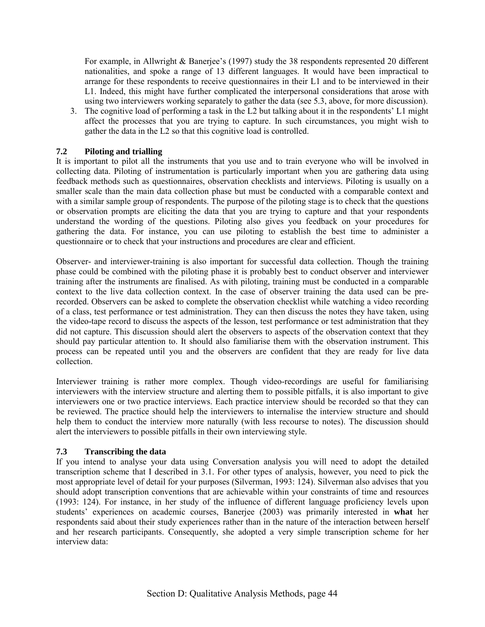For example, in Allwright & Banerjee's (1997) study the 38 respondents represented 20 different nationalities, and spoke a range of 13 different languages. It would have been impractical to arrange for these respondents to receive questionnaires in their L1 and to be interviewed in their L1. Indeed, this might have further complicated the interpersonal considerations that arose with using two interviewers working separately to gather the data (see 5.3, above, for more discussion).

3. The cognitive load of performing a task in the L2 but talking about it in the respondents' L1 might affect the processes that you are trying to capture. In such circumstances, you might wish to gather the data in the L2 so that this cognitive load is controlled.

### **7.2 Piloting and trialling**

It is important to pilot all the instruments that you use and to train everyone who will be involved in collecting data. Piloting of instrumentation is particularly important when you are gathering data using feedback methods such as questionnaires, observation checklists and interviews. Piloting is usually on a smaller scale than the main data collection phase but must be conducted with a comparable context and with a similar sample group of respondents. The purpose of the piloting stage is to check that the questions or observation prompts are eliciting the data that you are trying to capture and that your respondents understand the wording of the questions. Piloting also gives you feedback on your procedures for gathering the data. For instance, you can use piloting to establish the best time to administer a questionnaire or to check that your instructions and procedures are clear and efficient.

Observer- and interviewer-training is also important for successful data collection. Though the training phase could be combined with the piloting phase it is probably best to conduct observer and interviewer training after the instruments are finalised. As with piloting, training must be conducted in a comparable context to the live data collection context. In the case of observer training the data used can be prerecorded. Observers can be asked to complete the observation checklist while watching a video recording of a class, test performance or test administration. They can then discuss the notes they have taken, using the video-tape record to discuss the aspects of the lesson, test performance or test administration that they did not capture. This discussion should alert the observers to aspects of the observation context that they should pay particular attention to. It should also familiarise them with the observation instrument. This process can be repeated until you and the observers are confident that they are ready for live data collection.

Interviewer training is rather more complex. Though video-recordings are useful for familiarising interviewers with the interview structure and alerting them to possible pitfalls, it is also important to give interviewers one or two practice interviews. Each practice interview should be recorded so that they can be reviewed. The practice should help the interviewers to internalise the interview structure and should help them to conduct the interview more naturally (with less recourse to notes). The discussion should alert the interviewers to possible pitfalls in their own interviewing style.

#### **7.3 Transcribing the data**

If you intend to analyse your data using Conversation analysis you will need to adopt the detailed transcription scheme that I described in 3.1. For other types of analysis, however, you need to pick the most appropriate level of detail for your purposes (Silverman, 1993: 124). Silverman also advises that you should adopt transcription conventions that are achievable within your constraints of time and resources (1993: 124). For instance, in her study of the influence of different language proficiency levels upon studentsí experiences on academic courses, Banerjee (2003) was primarily interested in **what** her respondents said about their study experiences rather than in the nature of the interaction between herself and her research participants. Consequently, she adopted a very simple transcription scheme for her interview data: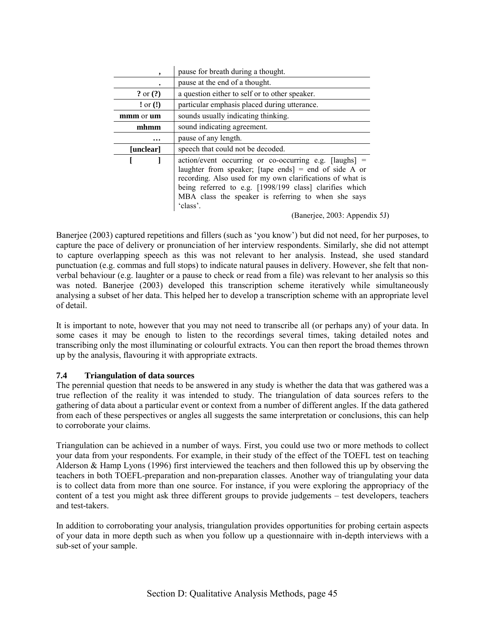| ,                                                | pause for breath during a thought.                                                                                                                                                                                                                                                                             |  |  |
|--------------------------------------------------|----------------------------------------------------------------------------------------------------------------------------------------------------------------------------------------------------------------------------------------------------------------------------------------------------------------|--|--|
|                                                  | pause at the end of a thought.                                                                                                                                                                                                                                                                                 |  |  |
| ? or $(?)$                                       | a question either to self or to other speaker.                                                                                                                                                                                                                                                                 |  |  |
| $:$ or $(!)$                                     | particular emphasis placed during utterance.                                                                                                                                                                                                                                                                   |  |  |
| sounds usually indicating thinking.<br>mmm or um |                                                                                                                                                                                                                                                                                                                |  |  |
| mhmm                                             | sound indicating agreement.                                                                                                                                                                                                                                                                                    |  |  |
| $\cdots$                                         | pause of any length.                                                                                                                                                                                                                                                                                           |  |  |
| [unclear]                                        | speech that could not be decoded.                                                                                                                                                                                                                                                                              |  |  |
|                                                  | $action/event$ occurring or co-occurring e.g. $[laughs]$ =<br>laughter from speaker; [tape ends] = end of side A or<br>recording. Also used for my own clarifications of what is<br>being referred to e.g. [1998/199 class] clarifies which<br>MBA class the speaker is referring to when she says<br>'class'. |  |  |

(Banerjee, 2003: Appendix 5J)

Banerjee (2003) captured repetitions and fillers (such as 'you know') but did not need, for her purposes, to capture the pace of delivery or pronunciation of her interview respondents. Similarly, she did not attempt to capture overlapping speech as this was not relevant to her analysis. Instead, she used standard punctuation (e.g. commas and full stops) to indicate natural pauses in delivery. However, she felt that nonverbal behaviour (e.g. laughter or a pause to check or read from a file) was relevant to her analysis so this was noted. Banerjee (2003) developed this transcription scheme iteratively while simultaneously analysing a subset of her data. This helped her to develop a transcription scheme with an appropriate level of detail.

It is important to note, however that you may not need to transcribe all (or perhaps any) of your data. In some cases it may be enough to listen to the recordings several times, taking detailed notes and transcribing only the most illuminating or colourful extracts. You can then report the broad themes thrown up by the analysis, flavouring it with appropriate extracts.

#### **7.4 Triangulation of data sources**

The perennial question that needs to be answered in any study is whether the data that was gathered was a true reflection of the reality it was intended to study. The triangulation of data sources refers to the gathering of data about a particular event or context from a number of different angles. If the data gathered from each of these perspectives or angles all suggests the same interpretation or conclusions, this can help to corroborate your claims.

Triangulation can be achieved in a number of ways. First, you could use two or more methods to collect your data from your respondents. For example, in their study of the effect of the TOEFL test on teaching Alderson & Hamp Lyons (1996) first interviewed the teachers and then followed this up by observing the teachers in both TOEFL-preparation and non-preparation classes. Another way of triangulating your data is to collect data from more than one source. For instance, if you were exploring the appropriacy of the content of a test you might ask three different groups to provide judgements – test developers, teachers and test-takers.

In addition to corroborating your analysis, triangulation provides opportunities for probing certain aspects of your data in more depth such as when you follow up a questionnaire with in-depth interviews with a sub-set of your sample.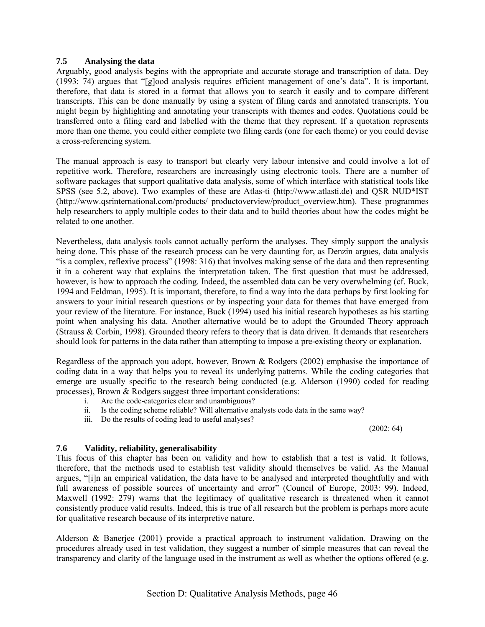### **7.5 Analysing the data**

Arguably, good analysis begins with the appropriate and accurate storage and transcription of data. Dey  $(1993: 74)$  argues that "[g]ood analysis requires efficient management of one's data". It is important, therefore, that data is stored in a format that allows you to search it easily and to compare different transcripts. This can be done manually by using a system of filing cards and annotated transcripts. You might begin by highlighting and annotating your transcripts with themes and codes. Quotations could be transferred onto a filing card and labelled with the theme that they represent. If a quotation represents more than one theme, you could either complete two filing cards (one for each theme) or you could devise a cross-referencing system.

The manual approach is easy to transport but clearly very labour intensive and could involve a lot of repetitive work. Therefore, researchers are increasingly using electronic tools. There are a number of software packages that support qualitative data analysis, some of which interface with statistical tools like SPSS (see 5.2, above). Two examples of these are Atlas-ti (http://www.atlasti.de) and QSR NUD\*IST (http://www.qsrinternational.com/products/ productoverview/product\_overview.htm). These programmes help researchers to apply multiple codes to their data and to build theories about how the codes might be related to one another.

Nevertheless, data analysis tools cannot actually perform the analyses. They simply support the analysis being done. This phase of the research process can be very daunting for, as Denzin argues, data analysis "is a complex, reflexive process" (1998: 316) that involves making sense of the data and then representing it in a coherent way that explains the interpretation taken. The first question that must be addressed, however, is how to approach the coding. Indeed, the assembled data can be very overwhelming (cf. Buck, 1994 and Feldman, 1995). It is important, therefore, to find a way into the data perhaps by first looking for answers to your initial research questions or by inspecting your data for themes that have emerged from your review of the literature. For instance, Buck (1994) used his initial research hypotheses as his starting point when analysing his data. Another alternative would be to adopt the Grounded Theory approach (Strauss & Corbin, 1998). Grounded theory refers to theory that is data driven. It demands that researchers should look for patterns in the data rather than attempting to impose a pre-existing theory or explanation.

Regardless of the approach you adopt, however, Brown & Rodgers (2002) emphasise the importance of coding data in a way that helps you to reveal its underlying patterns. While the coding categories that emerge are usually specific to the research being conducted (e.g. Alderson (1990) coded for reading processes), Brown & Rodgers suggest three important considerations:

- i. Are the code-categories clear and unambiguous?
- ii. Is the coding scheme reliable? Will alternative analysts code data in the same way?
- iii. Do the results of coding lead to useful analyses?

(2002: 64)

# **7.6 Validity, reliability, generalisability**

This focus of this chapter has been on validity and how to establish that a test is valid. It follows, therefore, that the methods used to establish test validity should themselves be valid. As the Manual argues, "[i]n an empirical validation, the data have to be analysed and interpreted thoughtfully and with full awareness of possible sources of uncertainty and error" (Council of Europe, 2003: 99). Indeed, Maxwell (1992: 279) warns that the legitimacy of qualitative research is threatened when it cannot consistently produce valid results. Indeed, this is true of all research but the problem is perhaps more acute for qualitative research because of its interpretive nature.

Alderson & Banerjee (2001) provide a practical approach to instrument validation. Drawing on the procedures already used in test validation, they suggest a number of simple measures that can reveal the transparency and clarity of the language used in the instrument as well as whether the options offered (e.g.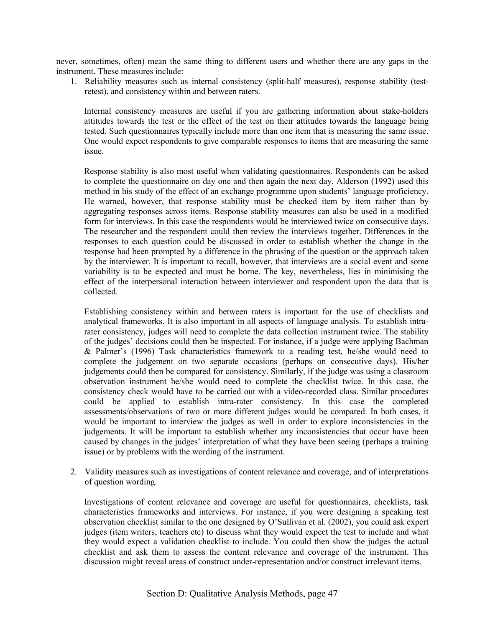never, sometimes, often) mean the same thing to different users and whether there are any gaps in the instrument. These measures include:

1. Reliability measures such as internal consistency (split-half measures), response stability (testretest), and consistency within and between raters.

Internal consistency measures are useful if you are gathering information about stake-holders attitudes towards the test or the effect of the test on their attitudes towards the language being tested. Such questionnaires typically include more than one item that is measuring the same issue. One would expect respondents to give comparable responses to items that are measuring the same issue.

Response stability is also most useful when validating questionnaires. Respondents can be asked to complete the questionnaire on day one and then again the next day. Alderson (1992) used this method in his study of the effect of an exchange programme upon students' language proficiency. He warned, however, that response stability must be checked item by item rather than by aggregating responses across items. Response stability measures can also be used in a modified form for interviews. In this case the respondents would be interviewed twice on consecutive days. The researcher and the respondent could then review the interviews together. Differences in the responses to each question could be discussed in order to establish whether the change in the response had been prompted by a difference in the phrasing of the question or the approach taken by the interviewer. It is important to recall, however, that interviews are a social event and some variability is to be expected and must be borne. The key, nevertheless, lies in minimising the effect of the interpersonal interaction between interviewer and respondent upon the data that is collected.

Establishing consistency within and between raters is important for the use of checklists and analytical frameworks. It is also important in all aspects of language analysis. To establish intrarater consistency, judges will need to complete the data collection instrument twice. The stability of the judgesí decisions could then be inspected. For instance, if a judge were applying Bachman & Palmerís (1996) Task characteristics framework to a reading test, he/she would need to complete the judgement on two separate occasions (perhaps on consecutive days). His/her judgements could then be compared for consistency. Similarly, if the judge was using a classroom observation instrument he/she would need to complete the checklist twice. In this case, the consistency check would have to be carried out with a video-recorded class. Similar procedures could be applied to establish intra-rater consistency. In this case the completed assessments/observations of two or more different judges would be compared. In both cases, it would be important to interview the judges as well in order to explore inconsistencies in the judgements. It will be important to establish whether any inconsistencies that occur have been caused by changes in the judges' interpretation of what they have been seeing (perhaps a training issue) or by problems with the wording of the instrument.

2. Validity measures such as investigations of content relevance and coverage, and of interpretations of question wording.

Investigations of content relevance and coverage are useful for questionnaires, checklists, task characteristics frameworks and interviews. For instance, if you were designing a speaking test observation checklist similar to the one designed by O'Sullivan et al.  $(2002)$ , you could ask expert judges (item writers, teachers etc) to discuss what they would expect the test to include and what they would expect a validation checklist to include. You could then show the judges the actual checklist and ask them to assess the content relevance and coverage of the instrument. This discussion might reveal areas of construct under-representation and/or construct irrelevant items.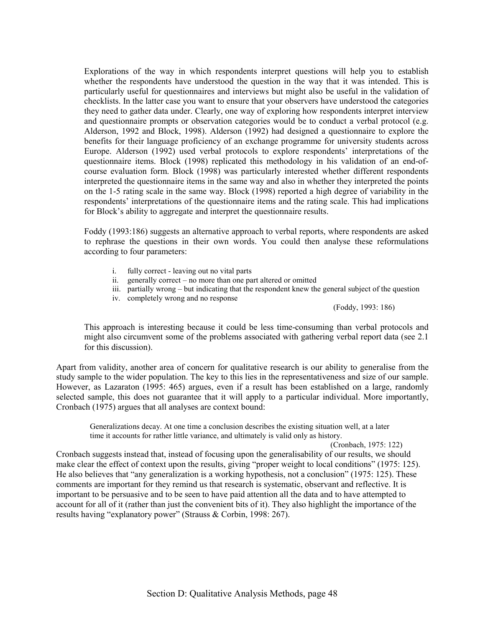Explorations of the way in which respondents interpret questions will help you to establish whether the respondents have understood the question in the way that it was intended. This is particularly useful for questionnaires and interviews but might also be useful in the validation of checklists. In the latter case you want to ensure that your observers have understood the categories they need to gather data under. Clearly, one way of exploring how respondents interpret interview and questionnaire prompts or observation categories would be to conduct a verbal protocol (e.g. Alderson, 1992 and Block, 1998). Alderson (1992) had designed a questionnaire to explore the benefits for their language proficiency of an exchange programme for university students across Europe. Alderson (1992) used verbal protocols to explore respondents' interpretations of the questionnaire items. Block (1998) replicated this methodology in his validation of an end-ofcourse evaluation form. Block (1998) was particularly interested whether different respondents interpreted the questionnaire items in the same way and also in whether they interpreted the points on the 1-5 rating scale in the same way. Block (1998) reported a high degree of variability in the respondents' interpretations of the questionnaire items and the rating scale. This had implications for Block's ability to aggregate and interpret the questionnaire results.

Foddy (1993:186) suggests an alternative approach to verbal reports, where respondents are asked to rephrase the questions in their own words. You could then analyse these reformulations according to four parameters:

- i. fully correct leaving out no vital parts
- ii. generally correct  $-$  no more than one part altered or omitted
- iii. partially wrong  $-\frac{1}{2}$  but indicating that the respondent knew the general subject of the question
- iv. completely wrong and no response

(Foddy, 1993: 186)

This approach is interesting because it could be less time-consuming than verbal protocols and might also circumvent some of the problems associated with gathering verbal report data (see 2.1 for this discussion).

Apart from validity, another area of concern for qualitative research is our ability to generalise from the study sample to the wider population. The key to this lies in the representativeness and size of our sample. However, as Lazaraton (1995: 465) argues, even if a result has been established on a large, randomly selected sample, this does not guarantee that it will apply to a particular individual. More importantly, Cronbach (1975) argues that all analyses are context bound:

Generalizations decay. At one time a conclusion describes the existing situation well, at a later time it accounts for rather little variance, and ultimately is valid only as history.

(Cronbach, 1975: 122) Cronbach suggests instead that, instead of focusing upon the generalisability of our results, we should make clear the effect of context upon the results, giving "proper weight to local conditions" (1975: 125). He also believes that "any generalization is a working hypothesis, not a conclusion" (1975: 125). These comments are important for they remind us that research is systematic, observant and reflective. It is important to be persuasive and to be seen to have paid attention all the data and to have attempted to account for all of it (rather than just the convenient bits of it). They also highlight the importance of the results having "explanatory power" (Strauss & Corbin, 1998: 267).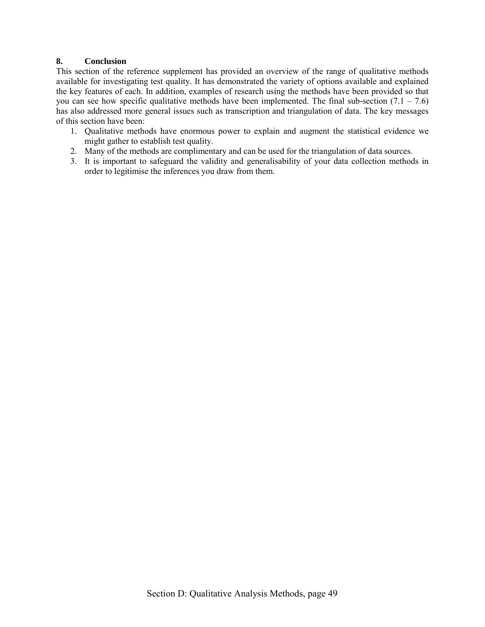# **8. Conclusion**

This section of the reference supplement has provided an overview of the range of qualitative methods available for investigating test quality. It has demonstrated the variety of options available and explained the key features of each. In addition, examples of research using the methods have been provided so that you can see how specific qualitative methods have been implemented. The final sub-section  $(7.1 - 7.6)$ has also addressed more general issues such as transcription and triangulation of data. The key messages of this section have been:

- 1. Qualitative methods have enormous power to explain and augment the statistical evidence we might gather to establish test quality.
- 2. Many of the methods are complimentary and can be used for the triangulation of data sources.
- 3. It is important to safeguard the validity and generalisability of your data collection methods in order to legitimise the inferences you draw from them.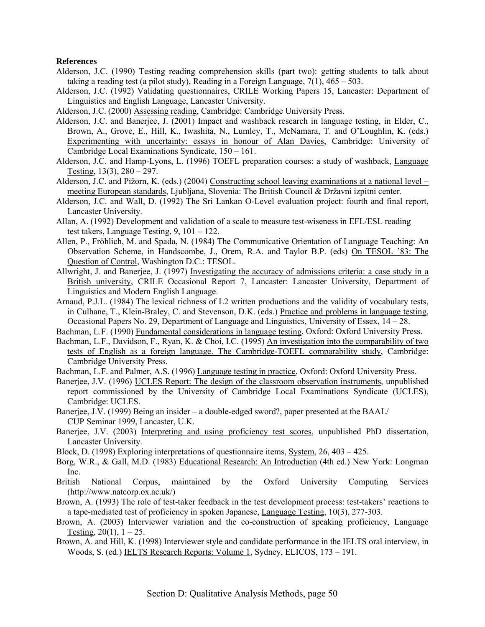#### **References**

- Alderson, J.C. (1990) Testing reading comprehension skills (part two): getting students to talk about taking a reading test (a pilot study), Reading in a Foreign Language,  $7(1)$ ,  $465 - 503$ .
- Alderson, J.C. (1992) Validating questionnaires, CRILE Working Papers 15, Lancaster: Department of Linguistics and English Language, Lancaster University.
- Alderson, J.C. (2000) Assessing reading, Cambridge: Cambridge University Press.
- Alderson, J.C. and Banerjee, J. (2001) Impact and washback research in language testing, in Elder, C., Brown, A., Grove, E., Hill, K., Iwashita, N., Lumley, T., McNamara, T. and O'Loughlin, K. (eds.) Experimenting with uncertainty: essays in honour of Alan Davies, Cambridge: University of Cambridge Local Examinations Syndicate,  $150 - 161$ .
- Alderson, J.C. and Hamp-Lyons, L. (1996) TOEFL preparation courses: a study of washback, Language Testing,  $13(3)$ ,  $280 - 297$ .
- Alderson, J.C. and Pižorn, K. (eds.) (2004) Constructing school leaving examinations at a national level  $$ meeting European standards, Ljubljana, Slovenia: The British Council & Državni izpitni center.
- Alderson, J.C. and Wall, D. (1992) The Sri Lankan O-Level evaluation project: fourth and final report, Lancaster University.
- Allan, A. (1992) Development and validation of a scale to measure test-wiseness in EFL/ESL reading test takers, Language Testing,  $9$ ,  $101 - 122$ .
- Allen, P., Fröhlich, M. and Spada, N. (1984) The Communicative Orientation of Language Teaching: An Observation Scheme, in Handscombe, J., Orem, R.A. and Taylor B.P. (eds) On TESOL í83: The Question of Control, Washington D.C.: TESOL.
- Allwright, J. and Banerjee, J. (1997) Investigating the accuracy of admissions criteria: a case study in a British university, CRILE Occasional Report 7, Lancaster: Lancaster University, Department of Linguistics and Modern English Language.
- Arnaud, P.J.L. (1984) The lexical richness of L2 written productions and the validity of vocabulary tests, in Culhane, T., Klein-Braley, C. and Stevenson, D.K. (eds.) Practice and problems in language testing, Occasional Papers No. 29, Department of Language and Linguistics, University of Essex,  $14 - 28$ .
- Bachman, L.F. (1990) Fundamental considerations in language testing, Oxford: Oxford University Press.
- Bachman, L.F., Davidson, F., Ryan, K. & Choi, I.C. (1995) An investigation into the comparability of two tests of English as a foreign language. The Cambridge-TOEFL comparability study, Cambridge: Cambridge University Press.
- Bachman, L.F. and Palmer, A.S. (1996) Language testing in practice, Oxford: Oxford University Press.
- Banerjee, J.V. (1996) UCLES Report: The design of the classroom observation instruments, unpublished report commissioned by the University of Cambridge Local Examinations Syndicate (UCLES), Cambridge: UCLES.
- Banerjee, J.V. (1999) Being an insider  $-a$  double-edged sword?, paper presented at the BAAL/ CUP Seminar 1999, Lancaster, U.K.
- Banerjee, J.V. (2003) Interpreting and using proficiency test scores, unpublished PhD dissertation, Lancaster University.
- Block, D. (1998) Exploring interpretations of questionnaire items, System,  $26, 403 425$ .
- Borg, W.R., & Gall, M.D. (1983) Educational Research: An Introduction (4th ed.) New York: Longman Inc.
- British National Corpus, maintained by the Oxford University Computing Services (http://www.natcorp.ox.ac.uk/)
- Brown, A. (1993) The role of test-taker feedback in the test development process: test-takers' reactions to a tape-mediated test of proficiency in spoken Japanese, Language Testing, 10(3), 277-303.
- Brown, A. (2003) Interviewer variation and the co-construction of speaking proficiency, Language Testing,  $20(1)$ ,  $1 - 25$ .
- Brown, A. and Hill, K. (1998) Interviewer style and candidate performance in the IELTS oral interview, in Woods, S. (ed.) IELTS Research Reports: Volume 1, Sydney, ELICOS,  $173 - 191$ .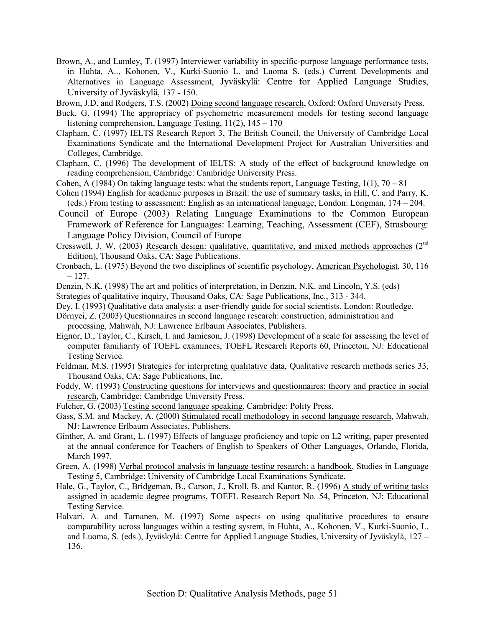Brown, A., and Lumley, T. (1997) Interviewer variability in specific-purpose language performance tests, in Huhta, A.., Kohonen, V., Kurki-Suonio L. and Luoma S. (eds.) Current Developments and Alternatives in Language Assessment, Jyväskylä: Centre for Applied Language Studies, University of Jyväskylä, 137 - 150.

Brown, J.D. and Rodgers, T.S. (2002) Doing second language research, Oxford: Oxford University Press.

- Buck, G. (1994) The appropriacy of psychometric measurement models for testing second language listening comprehension, Language Testing,  $11(2)$ ,  $145 - 170$
- Clapham, C. (1997) IELTS Research Report 3, The British Council, the University of Cambridge Local Examinations Syndicate and the International Development Project for Australian Universities and Colleges, Cambridge.
- Clapham, C. (1996) The development of IELTS: A study of the effect of background knowledge on reading comprehension, Cambridge: Cambridge University Press.
- Cohen, A (1984) On taking language tests: what the students report, Language Testing,  $1(1)$ ,  $70 81$
- Cohen (1994) English for academic purposes in Brazil: the use of summary tasks, in Hill, C. and Parry, K. (eds.) From testing to assessment: English as an international language, London: Longman,  $174 - 204$ .
- Council of Europe (2003) Relating Language Examinations to the Common European Framework of Reference for Languages: Learning, Teaching, Assessment (CEF), Strasbourg: Language Policy Division, Council of Europe
- Cresswell, J. W. (2003) Research design: qualitative, quantitative, and mixed methods approaches (2nd Edition), Thousand Oaks, CA: Sage Publications.
- Cronbach, L. (1975) Beyond the two disciplines of scientific psychology, American Psychologist, 30, 116  $-127.$
- Denzin, N.K. (1998) The art and politics of interpretation, in Denzin, N.K. and Lincoln, Y.S. (eds)
- Strategies of qualitative inquiry, Thousand Oaks, CA: Sage Publications, Inc., 313 344.
- Dey, I. (1993) Qualitative data analysis: a user-friendly guide for social scientists, London: Routledge.
- Dörnyei, Z. (2003) Questionnaires in second language research: construction, administration and processing, Mahwah, NJ: Lawrence Erlbaum Associates, Publishers.
- Eignor, D., Taylor, C., Kirsch, I. and Jamieson, J. (1998) Development of a scale for assessing the level of computer familiarity of TOEFL examinees, TOEFL Research Reports 60, Princeton, NJ: Educational Testing Service.
- Feldman, M.S. (1995) Strategies for interpreting qualitative data, Qualitative research methods series 33, Thousand Oaks, CA: Sage Publications, Inc.
- Foddy, W. (1993) Constructing questions for interviews and questionnaires: theory and practice in social research, Cambridge: Cambridge University Press.
- Fulcher, G. (2003) Testing second language speaking, Cambridge: Polity Press.
- Gass, S.M. and Mackey, A. (2000) Stimulated recall methodology in second language research, Mahwah, NJ: Lawrence Erlbaum Associates, Publishers.
- Ginther, A. and Grant, L. (1997) Effects of language proficiency and topic on L2 writing, paper presented at the annual conference for Teachers of English to Speakers of Other Languages, Orlando, Florida, March 1997.
- Green, A. (1998) Verbal protocol analysis in language testing research: a handbook, Studies in Language Testing 5, Cambridge: University of Cambridge Local Examinations Syndicate.
- Hale, G., Taylor, C., Bridgeman, B., Carson, J., Kroll, B. and Kantor, R. (1996) A study of writing tasks assigned in academic degree programs, TOEFL Research Report No. 54, Princeton, NJ: Educational Testing Service.
- Halvari, A. and Tarnanen, M. (1997) Some aspects on using qualitative procedures to ensure comparability across languages within a testing system, in Huhta, A., Kohonen, V., Kurki-Suonio, L. and Luoma, S. (eds.), Jyväskylä: Centre for Applied Language Studies, University of Jyväskylä, 127 – 136.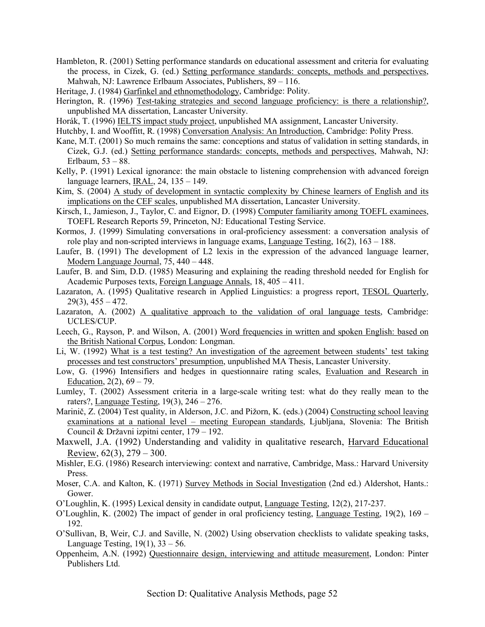- Hambleton, R. (2001) Setting performance standards on educational assessment and criteria for evaluating the process, in Cizek, G. (ed.) Setting performance standards: concepts, methods and perspectives, Mahwah, NJ: Lawrence Erlbaum Associates, Publishers, 89 – 116.
- Heritage, J. (1984) Garfinkel and ethnomethodology, Cambridge: Polity.
- Herington, R. (1996) Test-taking strategies and second language proficiency: is there a relationship?, unpublished MA dissertation, Lancaster University.
- Horák, T. (1996) IELTS impact study project, unpublished MA assignment, Lancaster University.
- Hutchby, I. and Wooffitt, R. (1998) Conversation Analysis: An Introduction, Cambridge: Polity Press.
- Kane, M.T. (2001) So much remains the same: conceptions and status of validation in setting standards, in Cizek, G.J. (ed.) Setting performance standards: concepts, methods and perspectives, Mahwah, NJ: Erlbaum,  $53 - 88$ .
- Kelly, P. (1991) Lexical ignorance: the main obstacle to listening comprehension with advanced foreign language learners, IRAL,  $24$ ,  $135 - 149$ .
- Kim, S. (2004) A study of development in syntactic complexity by Chinese learners of English and its implications on the CEF scales, unpublished MA dissertation, Lancaster University.
- Kirsch, I., Jamieson, J., Taylor, C. and Eignor, D. (1998) Computer familiarity among TOEFL examinees, TOEFL Research Reports 59, Princeton, NJ: Educational Testing Service.
- Kormos, J. (1999) Simulating conversations in oral-proficiency assessment: a conversation analysis of role play and non-scripted interviews in language exams, Language Testing,  $16(2)$ ,  $163 - 188$ .
- Laufer, B. (1991) The development of L2 lexis in the expression of the advanced language learner, Modern Language Journal,  $75, 440 - 448$ .
- Laufer, B. and Sim, D.D. (1985) Measuring and explaining the reading threshold needed for English for Academic Purposes texts, Foreign Language Annals,  $18, 405 - 411$ .
- Lazaraton, A. (1995) Qualitative research in Applied Linguistics: a progress report, TESOL Quarterly,  $29(3)$ ,  $455 - 472$ .
- Lazaraton, A. (2002) A qualitative approach to the validation of oral language tests, Cambridge: UCLES/CUP.
- Leech, G., Rayson, P. and Wilson, A. (2001) Word frequencies in written and spoken English: based on the British National Corpus, London: Longman.
- Li, W. (1992) What is a test testing? An investigation of the agreement between students' test taking processes and test constructors' presumption, unpublished MA Thesis, Lancaster University.
- Low, G. (1996) Intensifiers and hedges in questionnaire rating scales, Evaluation and Research in Education,  $2(2)$ ,  $69 - 79$ .
- Lumley, T. (2002) Assessment criteria in a large-scale writing test: what do they really mean to the raters?, Language Testing,  $19(3)$ ,  $246 - 276$ .
- Marinič, Z. (2004) Test quality, in Alderson, J.C. and Pižorn, K. (eds.) (2004) Constructing school leaving examinations at a national level – meeting European standards, Ljubljana, Slovenia: The British Council & Državni izpitni center, 179 – 192.
- Maxwell, J.A. (1992) Understanding and validity in qualitative research, Harvard Educational Review,  $62(3)$ ,  $279 - 300$ .
- Mishler, E.G. (1986) Research interviewing: context and narrative, Cambridge, Mass.: Harvard University Press.
- Moser, C.A. and Kalton, K. (1971) Survey Methods in Social Investigation (2nd ed.) Aldershot, Hants.: Gower.
- OíLoughlin, K. (1995) Lexical density in candidate output, Language Testing, 12(2), 217-237.
- O'Loughlin, K. (2002) The impact of gender in oral proficiency testing, Language Testing,  $19(2)$ ,  $169 -$ 192.
- OíSullivan, B, Weir, C.J. and Saville, N. (2002) Using observation checklists to validate speaking tasks, Language Testing,  $19(1)$ ,  $33 - 56$ .
- Oppenheim, A.N. (1992) Questionnaire design, interviewing and attitude measurement, London: Pinter Publishers Ltd.